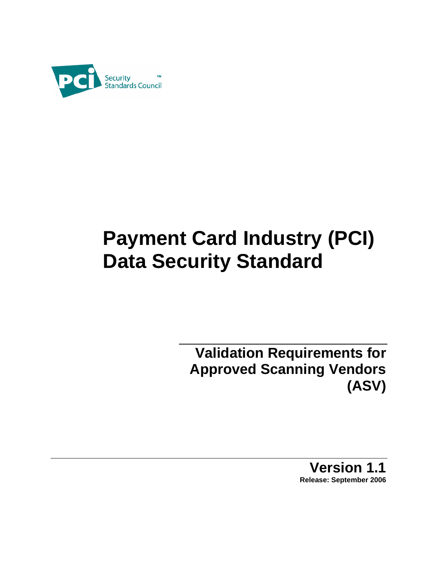

# **Payment Card Industry (PCI) Data Security Standard**

**Validation Requirements for Approved Scanning Vendors (ASV)** 

> **Version 1.1 Release: September 2006**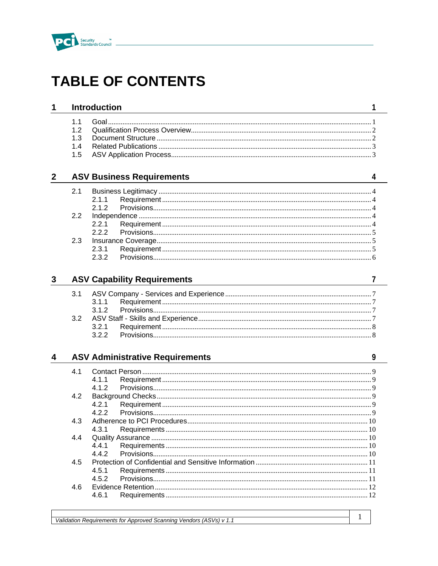

## **TABLE OF CONTENTS**

| 1            |                          | <b>Introduction</b>                    | 1 |
|--------------|--------------------------|----------------------------------------|---|
|              | 1.1<br>1.2<br>1.3<br>1.4 |                                        |   |
|              | 1.5                      |                                        |   |
| $\mathbf{2}$ |                          | <b>ASV Business Requirements</b>       | 4 |
|              | 2.1                      |                                        |   |
|              |                          | 2.1.1                                  |   |
|              |                          | 2.1.2                                  |   |
|              | 2.2                      |                                        |   |
|              |                          | 2.2.1                                  |   |
|              |                          | 2.2.2                                  |   |
|              | 2.3                      | 2.3.1                                  |   |
|              |                          | 2.3.2                                  |   |
|              |                          |                                        |   |
| 3            |                          | <b>ASV Capability Requirements</b>     | 7 |
|              | 3.1                      |                                        |   |
|              |                          | 3.1.1                                  |   |
|              |                          | 3.1.2                                  |   |
|              | 3.2                      |                                        |   |
|              |                          | 3.2.1                                  |   |
|              |                          | 3.2.2                                  |   |
| 4            |                          | <b>ASV Administrative Requirements</b> | 9 |
|              |                          |                                        |   |
|              | 4.1                      |                                        |   |
|              |                          | 4.1.1                                  |   |
|              |                          | 4.1.2                                  |   |
|              | 4.2                      |                                        |   |
|              |                          | 4.2.1                                  |   |
|              | 4.3                      | 4.2.2                                  |   |
|              |                          | 4.3.1                                  |   |
|              | 4.4                      |                                        |   |
|              |                          | 4.4.1                                  |   |
|              |                          | 442                                    |   |
|              | 4.5                      |                                        |   |
|              |                          | 4.5.1                                  |   |
|              |                          | 4.5.2                                  |   |
|              | 4.6                      |                                        |   |
|              |                          | 4.6.1                                  |   |
|              |                          |                                        |   |

 $\overline{1}$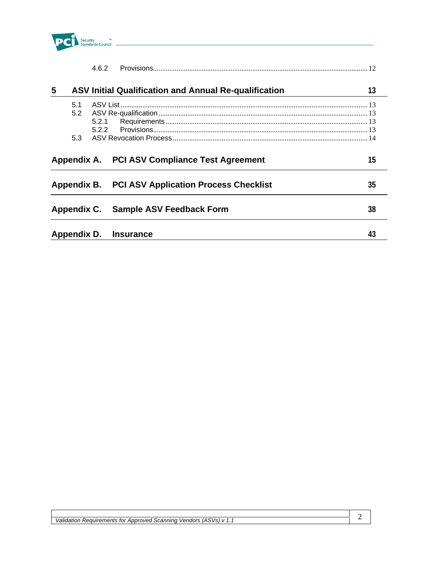

|                   | 4.6.2          |                                                              |    |
|-------------------|----------------|--------------------------------------------------------------|----|
| 5                 |                | <b>ASV Initial Qualification and Annual Re-qualification</b> | 13 |
| 5.1<br>5.2<br>5.3 | 5.2.1<br>5.2.2 |                                                              |    |
| Appendix A.       |                | <b>PCI ASV Compliance Test Agreement</b>                     | 15 |
| Appendix B.       |                | <b>PCI ASV Application Process Checklist</b>                 | 35 |
| Appendix C.       |                | <b>Sample ASV Feedback Form</b>                              | 38 |
| Appendix D.       |                | <b>Insurance</b>                                             | 43 |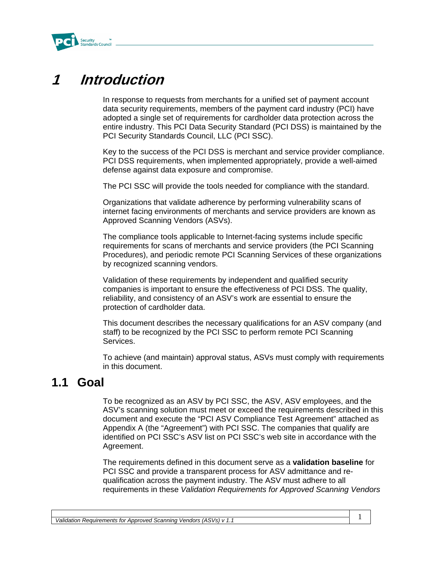

## **1 Introduction**

In response to requests from merchants for a unified set of payment account data security requirements, members of the payment card industry (PCI) have adopted a single set of requirements for cardholder data protection across the entire industry. This PCI Data Security Standard (PCI DSS) is maintained by the PCI Security Standards Council, LLC (PCI SSC).

Key to the success of the PCI DSS is merchant and service provider compliance. PCI DSS requirements, when implemented appropriately, provide a well-aimed defense against data exposure and compromise.

The PCI SSC will provide the tools needed for compliance with the standard.

Organizations that validate adherence by performing vulnerability scans of internet facing environments of merchants and service providers are known as Approved Scanning Vendors (ASVs).

The compliance tools applicable to Internet-facing systems include specific requirements for scans of merchants and service providers (the PCI Scanning Procedures), and periodic remote PCI Scanning Services of these organizations by recognized scanning vendors.

Validation of these requirements by independent and qualified security companies is important to ensure the effectiveness of PCI DSS. The quality, reliability, and consistency of an ASV's work are essential to ensure the protection of cardholder data.

This document describes the necessary qualifications for an ASV company (and staff) to be recognized by the PCI SSC to perform remote PCI Scanning Services.

To achieve (and maintain) approval status, ASVs must comply with requirements in this document.

### **1.1 Goal**

To be recognized as an ASV by PCI SSC, the ASV, ASV employees, and the ASV's scanning solution must meet or exceed the requirements described in this document and execute the "PCI ASV Compliance Test Agreement" attached as Appendix A (the "Agreement") with PCI SSC. The companies that qualify are identified on PCI SSC's ASV list on PCI SSC's web site in accordance with the Agreement.

The requirements defined in this document serve as a **validation baseline** for PCI SSC and provide a transparent process for ASV admittance and requalification across the payment industry. The ASV must adhere to all requirements in these *Validation Requirements for Approved Scanning Vendors*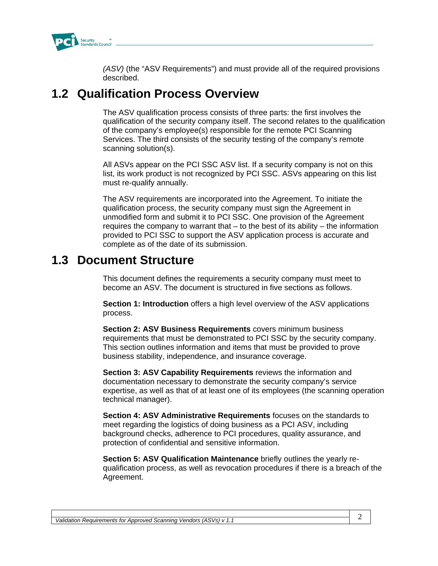

*(ASV)* (the "ASV Requirements") and must provide all of the required provisions described.

### **1.2 Qualification Process Overview**

The ASV qualification process consists of three parts: the first involves the qualification of the security company itself. The second relates to the qualification of the company's employee(s) responsible for the remote PCI Scanning Services. The third consists of the security testing of the company's remote scanning solution(s).

All ASVs appear on the PCI SSC ASV list. If a security company is not on this list, its work product is not recognized by PCI SSC. ASVs appearing on this list must re-qualify annually.

The ASV requirements are incorporated into the Agreement. To initiate the qualification process, the security company must sign the Agreement in unmodified form and submit it to PCI SSC. One provision of the Agreement requires the company to warrant that – to the best of its ability – the information provided to PCI SSC to support the ASV application process is accurate and complete as of the date of its submission.

### **1.3 Document Structure**

This document defines the requirements a security company must meet to become an ASV. The document is structured in five sections as follows.

**Section 1: Introduction** offers a high level overview of the ASV applications process.

**Section 2: ASV Business Requirements** covers minimum business requirements that must be demonstrated to PCI SSC by the security company. This section outlines information and items that must be provided to prove business stability, independence, and insurance coverage.

**Section 3: ASV Capability Requirements** reviews the information and documentation necessary to demonstrate the security company's service expertise, as well as that of at least one of its employees (the scanning operation technical manager).

**Section 4: ASV Administrative Requirements** focuses on the standards to meet regarding the logistics of doing business as a PCI ASV, including background checks, adherence to PCI procedures, quality assurance, and protection of confidential and sensitive information.

**Section 5: ASV Qualification Maintenance** briefly outlines the yearly requalification process, as well as revocation procedures if there is a breach of the Agreement.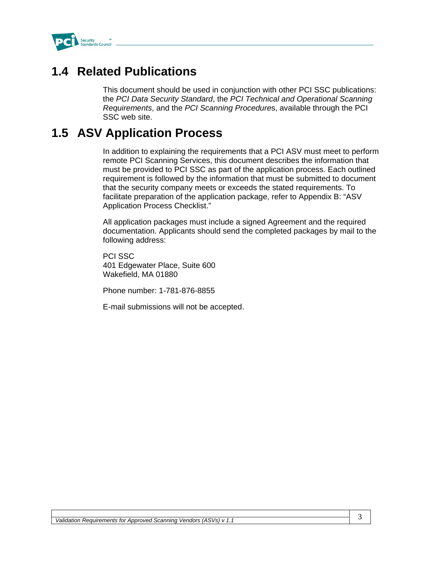

### **1.4 Related Publications**

This document should be used in conjunction with other PCI SSC publications: the *PCI Data Security Standard*, the *PCI Technical and Operational Scanning Requirements*, and the *PCI Scanning Procedure*s, available through the PCI SSC web site.

### **1.5 ASV Application Process**

In addition to explaining the requirements that a PCI ASV must meet to perform remote PCI Scanning Services, this document describes the information that must be provided to PCI SSC as part of the application process. Each outlined requirement is followed by the information that must be submitted to document that the security company meets or exceeds the stated requirements. To facilitate preparation of the application package, refer to Appendix B: "ASV Application Process Checklist."

All application packages must include a signed Agreement and the required documentation. Applicants should send the completed packages by mail to the following address:

PCI SSC 401 Edgewater Place, Suite 600 Wakefield, MA 01880

Phone number: 1-781-876-8855

E-mail submissions will not be accepted.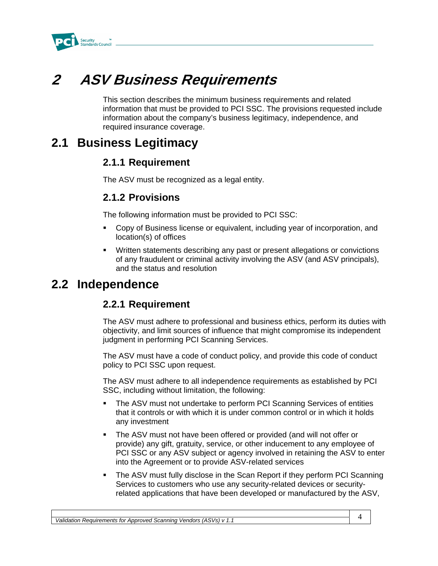

## **2 ASV Business Requirements**

This section describes the minimum business requirements and related information that must be provided to PCI SSC. The provisions requested include information about the company's business legitimacy, independence, and required insurance coverage.

### **2.1 Business Legitimacy**

### **2.1.1 Requirement**

The ASV must be recognized as a legal entity.

### **2.1.2 Provisions**

The following information must be provided to PCI SSC:

- Copy of Business license or equivalent, including year of incorporation, and location(s) of offices
- Written statements describing any past or present allegations or convictions of any fraudulent or criminal activity involving the ASV (and ASV principals), and the status and resolution

### **2.2 Independence**

### **2.2.1 Requirement**

The ASV must adhere to professional and business ethics, perform its duties with objectivity, and limit sources of influence that might compromise its independent judgment in performing PCI Scanning Services.

The ASV must have a code of conduct policy, and provide this code of conduct policy to PCI SSC upon request.

The ASV must adhere to all independence requirements as established by PCI SSC, including without limitation, the following:

- The ASV must not undertake to perform PCI Scanning Services of entities that it controls or with which it is under common control or in which it holds any investment
- The ASV must not have been offered or provided (and will not offer or provide) any gift, gratuity, service, or other inducement to any employee of PCI SSC or any ASV subject or agency involved in retaining the ASV to enter into the Agreement or to provide ASV-related services
- The ASV must fully disclose in the Scan Report if they perform PCI Scanning Services to customers who use any security-related devices or securityrelated applications that have been developed or manufactured by the ASV,

*Validation Requirements for Approved Scanning Vendors (ASVs) v 1.1* 4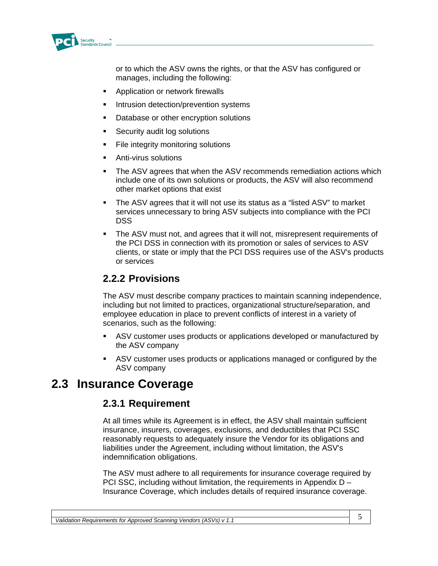

or to which the ASV owns the rights, or that the ASV has configured or manages, including the following:

- Application or network firewalls
- **Intrusion detection/prevention systems**
- **Database or other encryption solutions**
- **Security audit log solutions**
- **File integrity monitoring solutions**
- Anti-virus solutions
- **The ASV agrees that when the ASV recommends remediation actions which** include one of its own solutions or products, the ASV will also recommend other market options that exist
- The ASV agrees that it will not use its status as a "listed ASV" to market services unnecessary to bring ASV subjects into compliance with the PCI DSS
- The ASV must not, and agrees that it will not, misrepresent requirements of the PCI DSS in connection with its promotion or sales of services to ASV clients, or state or imply that the PCI DSS requires use of the ASV's products or services

### **2.2.2 Provisions**

The ASV must describe company practices to maintain scanning independence, including but not limited to practices, organizational structure/separation, and employee education in place to prevent conflicts of interest in a variety of scenarios, such as the following:

- **ASV** customer uses products or applications developed or manufactured by the ASV company
- ASV customer uses products or applications managed or configured by the ASV company

### **2.3 Insurance Coverage**

### **2.3.1 Requirement**

At all times while its Agreement is in effect, the ASV shall maintain sufficient insurance, insurers, coverages, exclusions, and deductibles that PCI SSC reasonably requests to adequately insure the Vendor for its obligations and liabilities under the Agreement, including without limitation, the ASV's indemnification obligations.

The ASV must adhere to all requirements for insurance coverage required by PCI SSC, including without limitation, the requirements in Appendix D – Insurance Coverage, which includes details of required insurance coverage.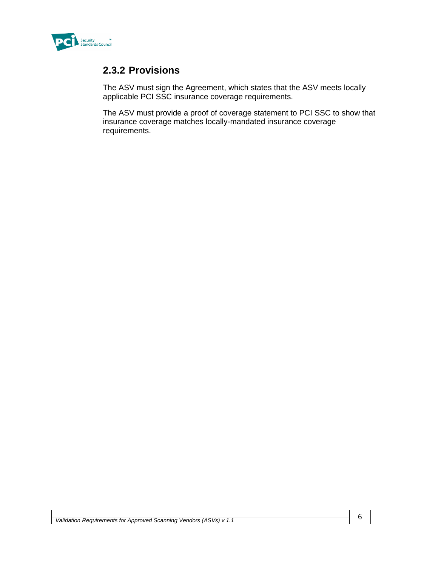

### **2.3.2 Provisions**

The ASV must sign the Agreement, which states that the ASV meets locally applicable PCI SSC insurance coverage requirements.

The ASV must provide a proof of coverage statement to PCI SSC to show that insurance coverage matches locally-mandated insurance coverage requirements.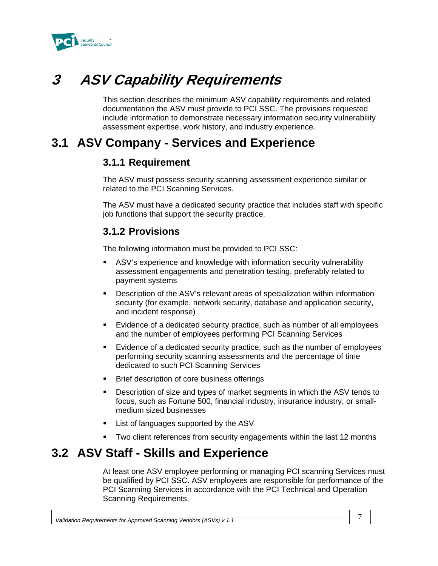

## **3 ASV Capability Requirements**

This section describes the minimum ASV capability requirements and related documentation the ASV must provide to PCI SSC. The provisions requested include information to demonstrate necessary information security vulnerability assessment expertise, work history, and industry experience.

### **3.1 ASV Company - Services and Experience**

### **3.1.1 Requirement**

The ASV must possess security scanning assessment experience similar or related to the PCI Scanning Services.

The ASV must have a dedicated security practice that includes staff with specific job functions that support the security practice.

### **3.1.2 Provisions**

The following information must be provided to PCI SSC:

- ASV's experience and knowledge with information security vulnerability assessment engagements and penetration testing, preferably related to payment systems
- Description of the ASV's relevant areas of specialization within information security (for example, network security, database and application security, and incident response)
- Evidence of a dedicated security practice, such as number of all employees and the number of employees performing PCI Scanning Services
- Evidence of a dedicated security practice, such as the number of employees performing security scanning assessments and the percentage of time dedicated to such PCI Scanning Services
- **Brief description of core business offerings**
- Description of size and types of market segments in which the ASV tends to focus, such as Fortune 500, financial industry, insurance industry, or smallmedium sized businesses
- List of languages supported by the ASV
- Two client references from security engagements within the last 12 months

### **3.2 ASV Staff - Skills and Experience**

At least one ASV employee performing or managing PCI scanning Services must be qualified by PCI SSC. ASV employees are responsible for performance of the PCI Scanning Services in accordance with the PCI Technical and Operation Scanning Requirements.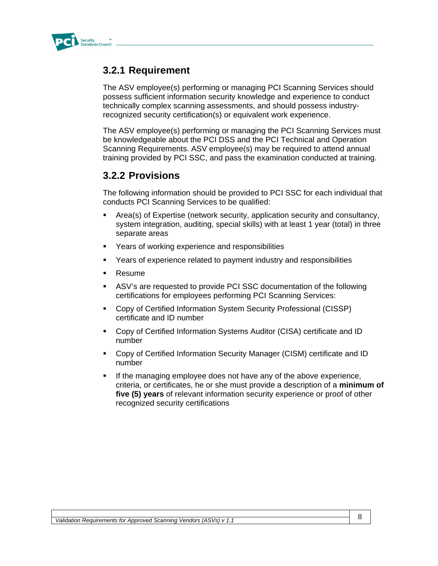

### **3.2.1 Requirement**

The ASV employee(s) performing or managing PCI Scanning Services should possess sufficient information security knowledge and experience to conduct technically complex scanning assessments, and should possess industryrecognized security certification(s) or equivalent work experience.

The ASV employee(s) performing or managing the PCI Scanning Services must be knowledgeable about the PCI DSS and the PCI Technical and Operation Scanning Requirements. ASV employee(s) may be required to attend annual training provided by PCI SSC, and pass the examination conducted at training.

### **3.2.2 Provisions**

The following information should be provided to PCI SSC for each individual that conducts PCI Scanning Services to be qualified:

- Area(s) of Expertise (network security, application security and consultancy, system integration, auditing, special skills) with at least 1 year (total) in three separate areas
- Years of working experience and responsibilities
- Years of experience related to payment industry and responsibilities
- Resume
- ASV's are requested to provide PCI SSC documentation of the following certifications for employees performing PCI Scanning Services:
- Copy of Certified Information System Security Professional (CISSP) certificate and ID number
- Copy of Certified Information Systems Auditor (CISA) certificate and ID number
- Copy of Certified Information Security Manager (CISM) certificate and ID number
- If the managing employee does not have any of the above experience, criteria, or certificates, he or she must provide a description of a **minimum of five (5) years** of relevant information security experience or proof of other recognized security certifications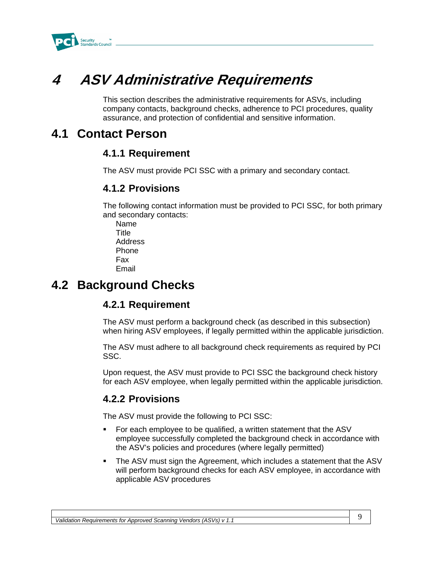

## **4 ASV Administrative Requirements**

This section describes the administrative requirements for ASVs, including company contacts, background checks, adherence to PCI procedures, quality assurance, and protection of confidential and sensitive information.

### **4.1 Contact Person**

### **4.1.1 Requirement**

The ASV must provide PCI SSC with a primary and secondary contact.

### **4.1.2 Provisions**

The following contact information must be provided to PCI SSC, for both primary and secondary contacts:

Name **Title** Address Phone Fax Email

### **4.2 Background Checks**

### **4.2.1 Requirement**

The ASV must perform a background check (as described in this subsection) when hiring ASV employees, if legally permitted within the applicable jurisdiction.

The ASV must adhere to all background check requirements as required by PCI SSC.

Upon request, the ASV must provide to PCI SSC the background check history for each ASV employee, when legally permitted within the applicable jurisdiction.

### **4.2.2 Provisions**

The ASV must provide the following to PCI SSC:

- For each employee to be qualified, a written statement that the ASV employee successfully completed the background check in accordance with the ASV's policies and procedures (where legally permitted)
- The ASV must sign the Agreement, which includes a statement that the ASV will perform background checks for each ASV employee, in accordance with applicable ASV procedures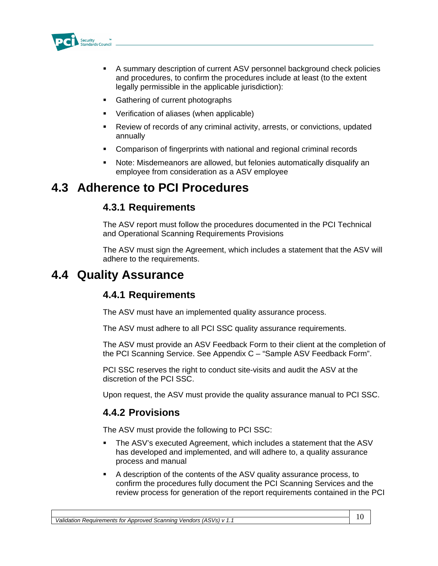

- A summary description of current ASV personnel background check policies and procedures, to confirm the procedures include at least (to the extent legally permissible in the applicable jurisdiction):
- Gathering of current photographs
- Verification of aliases (when applicable)
- Review of records of any criminal activity, arrests, or convictions, updated annually
- Comparison of fingerprints with national and regional criminal records
- Note: Misdemeanors are allowed, but felonies automatically disqualify an employee from consideration as a ASV employee

### **4.3 Adherence to PCI Procedures**

### **4.3.1 Requirements**

The ASV report must follow the procedures documented in the PCI Technical and Operational Scanning Requirements Provisions

The ASV must sign the Agreement, which includes a statement that the ASV will adhere to the requirements.

### **4.4 Quality Assurance**

### **4.4.1 Requirements**

The ASV must have an implemented quality assurance process.

The ASV must adhere to all PCI SSC quality assurance requirements.

The ASV must provide an ASV Feedback Form to their client at the completion of the PCI Scanning Service. See Appendix C – "Sample ASV Feedback Form".

PCI SSC reserves the right to conduct site-visits and audit the ASV at the discretion of the PCI SSC.

Upon request, the ASV must provide the quality assurance manual to PCI SSC.

### **4.4.2 Provisions**

The ASV must provide the following to PCI SSC:

- The ASV's executed Agreement, which includes a statement that the ASV has developed and implemented, and will adhere to, a quality assurance process and manual
- A description of the contents of the ASV quality assurance process, to confirm the procedures fully document the PCI Scanning Services and the review process for generation of the report requirements contained in the PCI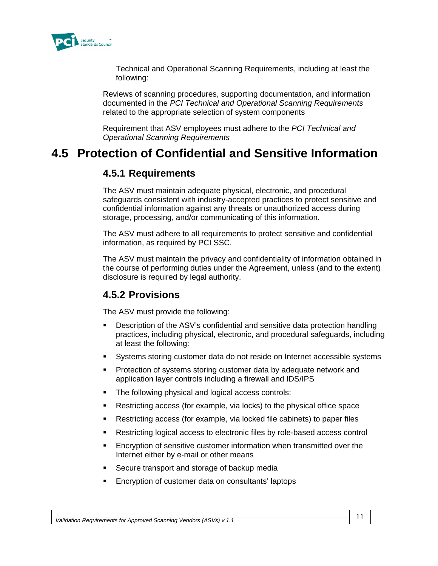

Technical and Operational Scanning Requirements, including at least the following:

Reviews of scanning procedures, supporting documentation, and information documented in the *PCI Technical and Operational Scanning Requirements* related to the appropriate selection of system components

Requirement that ASV employees must adhere to the *PCI Technical and Operational Scanning Requirements*

### **4.5 Protection of Confidential and Sensitive Information**

### **4.5.1 Requirements**

The ASV must maintain adequate physical, electronic, and procedural safeguards consistent with industry-accepted practices to protect sensitive and confidential information against any threats or unauthorized access during storage, processing, and/or communicating of this information.

The ASV must adhere to all requirements to protect sensitive and confidential information, as required by PCI SSC.

The ASV must maintain the privacy and confidentiality of information obtained in the course of performing duties under the Agreement, unless (and to the extent) disclosure is required by legal authority.

### **4.5.2 Provisions**

The ASV must provide the following:

- Description of the ASV's confidential and sensitive data protection handling practices, including physical, electronic, and procedural safeguards, including at least the following:
- Systems storing customer data do not reside on Internet accessible systems
- Protection of systems storing customer data by adequate network and application layer controls including a firewall and IDS/IPS
- **The following physical and logical access controls:**
- Restricting access (for example, via locks) to the physical office space
- Restricting access (for example, via locked file cabinets) to paper files
- Restricting logical access to electronic files by role-based access control
- Encryption of sensitive customer information when transmitted over the Internet either by e-mail or other means
- Secure transport and storage of backup media
- Encryption of customer data on consultants' laptops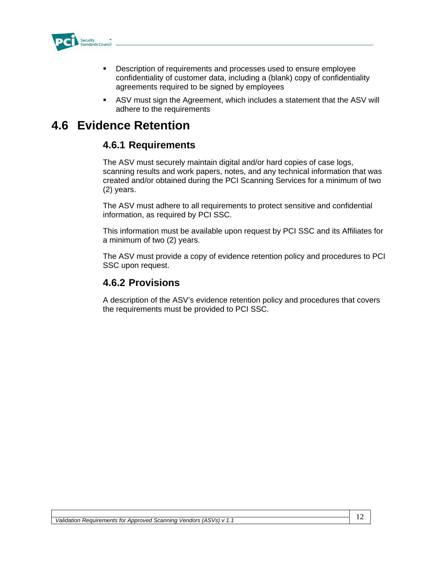

- **Description of requirements and processes used to ensure employee** confidentiality of customer data, including a (blank) copy of confidentiality agreements required to be signed by employees
- ASV must sign the Agreement, which includes a statement that the ASV will adhere to the requirements

### **4.6 Evidence Retention**

### **4.6.1 Requirements**

The ASV must securely maintain digital and/or hard copies of case logs, scanning results and work papers, notes, and any technical information that was created and/or obtained during the PCI Scanning Services for a minimum of two (2) years.

The ASV must adhere to all requirements to protect sensitive and confidential information, as required by PCI SSC.

This information must be available upon request by PCI SSC and its Affiliates for a minimum of two (2) years.

The ASV must provide a copy of evidence retention policy and procedures to PCI SSC upon request.

### **4.6.2 Provisions**

A description of the ASV's evidence retention policy and procedures that covers the requirements must be provided to PCI SSC.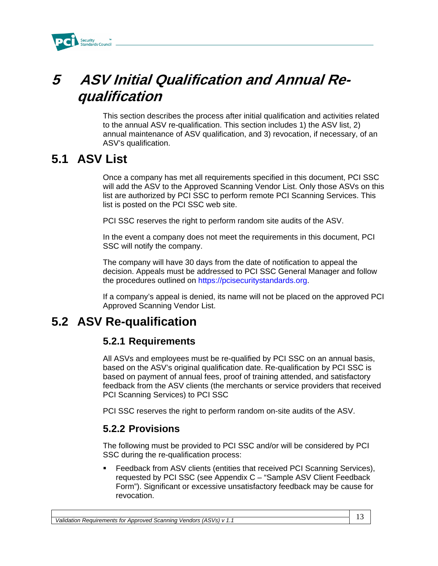

## **5 ASV Initial Qualification and Annual Requalification**

This section describes the process after initial qualification and activities related to the annual ASV re-qualification. This section includes 1) the ASV list, 2) annual maintenance of ASV qualification, and 3) revocation, if necessary, of an ASV's qualification.

### **5.1 ASV List**

Once a company has met all requirements specified in this document, PCI SSC will add the ASV to the Approved Scanning Vendor List. Only those ASVs on this list are authorized by PCI SSC to perform remote PCI Scanning Services. This list is posted on the PCI SSC web site.

PCI SSC reserves the right to perform random site audits of the ASV.

In the event a company does not meet the requirements in this document, PCI SSC will notify the company.

The company will have 30 days from the date of notification to appeal the decision. Appeals must be addressed to PCI SSC General Manager and follow the procedures outlined on https://pcisecuritystandards.org.

If a company's appeal is denied, its name will not be placed on the approved PCI Approved Scanning Vendor List.

### **5.2 ASV Re-qualification**

### **5.2.1 Requirements**

All ASVs and employees must be re-qualified by PCI SSC on an annual basis, based on the ASV's original qualification date. Re-qualification by PCI SSC is based on payment of annual fees, proof of training attended, and satisfactory feedback from the ASV clients (the merchants or service providers that received PCI Scanning Services) to PCI SSC

PCI SSC reserves the right to perform random on-site audits of the ASV.

### **5.2.2 Provisions**

The following must be provided to PCI SSC and/or will be considered by PCI SSC during the re-qualification process:

 Feedback from ASV clients (entities that received PCI Scanning Services), requested by PCI SSC (see Appendix C – "Sample ASV Client Feedback Form"). Significant or excessive unsatisfactory feedback may be cause for revocation.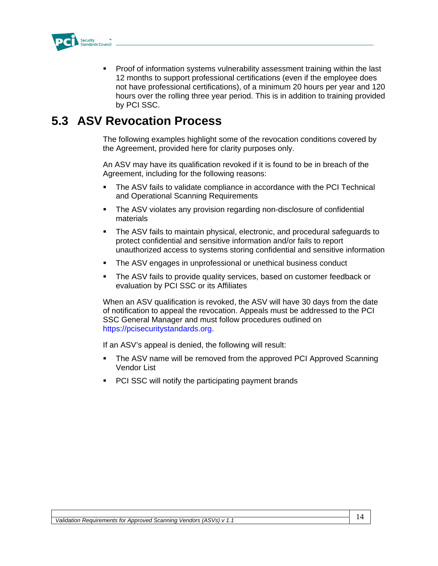

 Proof of information systems vulnerability assessment training within the last 12 months to support professional certifications (even if the employee does not have professional certifications), of a minimum 20 hours per year and 120 hours over the rolling three year period. This is in addition to training provided by PCI SSC.

### **5.3 ASV Revocation Process**

The following examples highlight some of the revocation conditions covered by the Agreement, provided here for clarity purposes only.

An ASV may have its qualification revoked if it is found to be in breach of the Agreement, including for the following reasons:

- The ASV fails to validate compliance in accordance with the PCI Technical and Operational Scanning Requirements
- The ASV violates any provision regarding non-disclosure of confidential materials
- **The ASV fails to maintain physical, electronic, and procedural safeguards to** protect confidential and sensitive information and/or fails to report unauthorized access to systems storing confidential and sensitive information
- **The ASV engages in unprofessional or unethical business conduct**
- The ASV fails to provide quality services, based on customer feedback or evaluation by PCI SSC or its Affiliates

When an ASV qualification is revoked, the ASV will have 30 days from the date of notification to appeal the revocation. Appeals must be addressed to the PCI SSC General Manager and must follow procedures outlined on https://pcisecuritystandards.org.

If an ASV's appeal is denied, the following will result:

- The ASV name will be removed from the approved PCI Approved Scanning Vendor List
- PCI SSC will notify the participating payment brands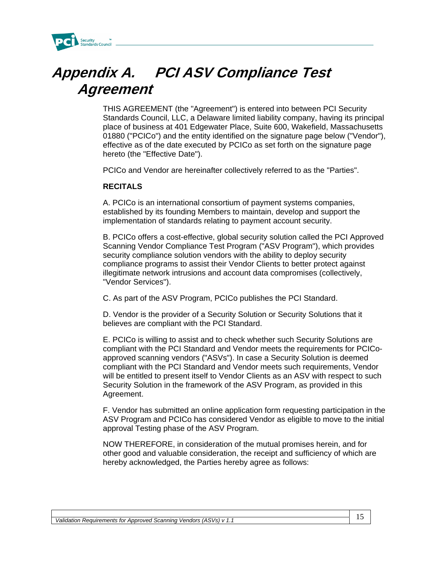

## **Appendix A. PCI ASV Compliance Test Agreement**

THIS AGREEMENT (the "Agreement") is entered into between PCI Security Standards Council, LLC, a Delaware limited liability company, having its principal place of business at 401 Edgewater Place, Suite 600, Wakefield, Massachusetts 01880 ("PCICo") and the entity identified on the signature page below ("Vendor"), effective as of the date executed by PCICo as set forth on the signature page hereto (the "Effective Date").

PCICo and Vendor are hereinafter collectively referred to as the "Parties".

#### **RECITALS**

A. PCICo is an international consortium of payment systems companies, established by its founding Members to maintain, develop and support the implementation of standards relating to payment account security.

B. PCICo offers a cost-effective, global security solution called the PCI Approved Scanning Vendor Compliance Test Program ("ASV Program"), which provides security compliance solution vendors with the ability to deploy security compliance programs to assist their Vendor Clients to better protect against illegitimate network intrusions and account data compromises (collectively, "Vendor Services").

C. As part of the ASV Program, PCICo publishes the PCI Standard.

D. Vendor is the provider of a Security Solution or Security Solutions that it believes are compliant with the PCI Standard.

E. PCICo is willing to assist and to check whether such Security Solutions are compliant with the PCI Standard and Vendor meets the requirements for PCICoapproved scanning vendors ("ASVs"). In case a Security Solution is deemed compliant with the PCI Standard and Vendor meets such requirements, Vendor will be entitled to present itself to Vendor Clients as an ASV with respect to such Security Solution in the framework of the ASV Program, as provided in this Agreement.

F. Vendor has submitted an online application form requesting participation in the ASV Program and PCICo has considered Vendor as eligible to move to the initial approval Testing phase of the ASV Program.

NOW THEREFORE, in consideration of the mutual promises herein, and for other good and valuable consideration, the receipt and sufficiency of which are hereby acknowledged, the Parties hereby agree as follows: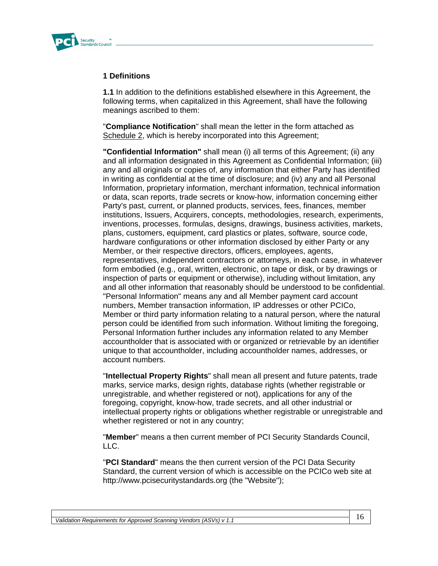

### **1 Definitions**

**1.1** In addition to the definitions established elsewhere in this Agreement, the following terms, when capitalized in this Agreement, shall have the following meanings ascribed to them:

"**Compliance Notification**" shall mean the letter in the form attached as Schedule 2, which is hereby incorporated into this Agreement;

**"Confidential Information"** shall mean (i) all terms of this Agreement; (ii) any and all information designated in this Agreement as Confidential Information; (iii) any and all originals or copies of, any information that either Party has identified in writing as confidential at the time of disclosure; and (iv) any and all Personal Information, proprietary information, merchant information, technical information or data, scan reports, trade secrets or know-how, information concerning either Party's past, current, or planned products, services, fees, finances, member institutions, Issuers, Acquirers, concepts, methodologies, research, experiments, inventions, processes, formulas, designs, drawings, business activities, markets, plans, customers, equipment, card plastics or plates, software, source code, hardware configurations or other information disclosed by either Party or any Member, or their respective directors, officers, employees, agents, representatives, independent contractors or attorneys, in each case, in whatever form embodied (e.g., oral, written, electronic, on tape or disk, or by drawings or inspection of parts or equipment or otherwise), including without limitation, any and all other information that reasonably should be understood to be confidential. "Personal Information" means any and all Member payment card account numbers, Member transaction information, IP addresses or other PCICo, Member or third party information relating to a natural person, where the natural person could be identified from such information. Without limiting the foregoing, Personal Information further includes any information related to any Member accountholder that is associated with or organized or retrievable by an identifier unique to that accountholder, including accountholder names, addresses, or account numbers.

"**Intellectual Property Rights**" shall mean all present and future patents, trade marks, service marks, design rights, database rights (whether registrable or unregistrable, and whether registered or not), applications for any of the foregoing, copyright, know-how, trade secrets, and all other industrial or intellectual property rights or obligations whether registrable or unregistrable and whether registered or not in any country;

"**Member**" means a then current member of PCI Security Standards Council, LLC.

"**PCI Standard**" means the then current version of the PCI Data Security Standard, the current version of which is accessible on the PCICo web site at http://www.pcisecuritystandards.org (the "Website");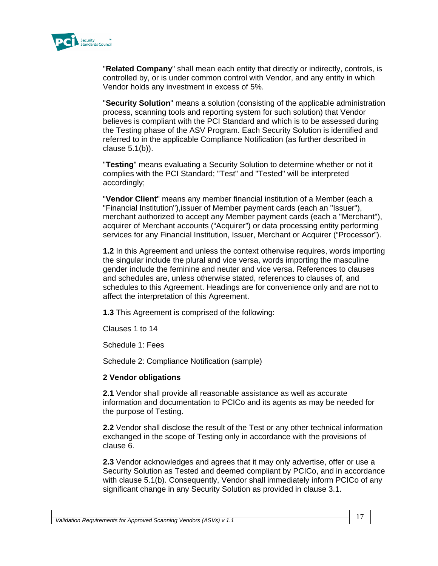

"**Related Company**" shall mean each entity that directly or indirectly, controls, is controlled by, or is under common control with Vendor, and any entity in which Vendor holds any investment in excess of 5%.

"**Security Solution**" means a solution (consisting of the applicable administration process, scanning tools and reporting system for such solution) that Vendor believes is compliant with the PCI Standard and which is to be assessed during the Testing phase of the ASV Program. Each Security Solution is identified and referred to in the applicable Compliance Notification (as further described in clause 5.1(b)).

"**Testing**" means evaluating a Security Solution to determine whether or not it complies with the PCI Standard; "Test" and "Tested" will be interpreted accordingly;

"**Vendor Client**" means any member financial institution of a Member (each a "Financial Institution"),issuer of Member payment cards (each an "Issuer"), merchant authorized to accept any Member payment cards (each a "Merchant"), acquirer of Merchant accounts ("Acquirer") or data processing entity performing services for any Financial Institution, Issuer, Merchant or Acquirer ("Processor").

**1.2** In this Agreement and unless the context otherwise requires, words importing the singular include the plural and vice versa, words importing the masculine gender include the feminine and neuter and vice versa. References to clauses and schedules are, unless otherwise stated, references to clauses of, and schedules to this Agreement. Headings are for convenience only and are not to affect the interpretation of this Agreement.

**1.3** This Agreement is comprised of the following:

Clauses 1 to 14

Schedule 1: Fees

Schedule 2: Compliance Notification (sample)

#### **2 Vendor obligations**

**2.1** Vendor shall provide all reasonable assistance as well as accurate information and documentation to PCICo and its agents as may be needed for the purpose of Testing.

**2.2** Vendor shall disclose the result of the Test or any other technical information exchanged in the scope of Testing only in accordance with the provisions of clause 6.

**2.3** Vendor acknowledges and agrees that it may only advertise, offer or use a Security Solution as Tested and deemed compliant by PCICo, and in accordance with clause 5.1(b). Consequently, Vendor shall immediately inform PCICo of any significant change in any Security Solution as provided in clause 3.1.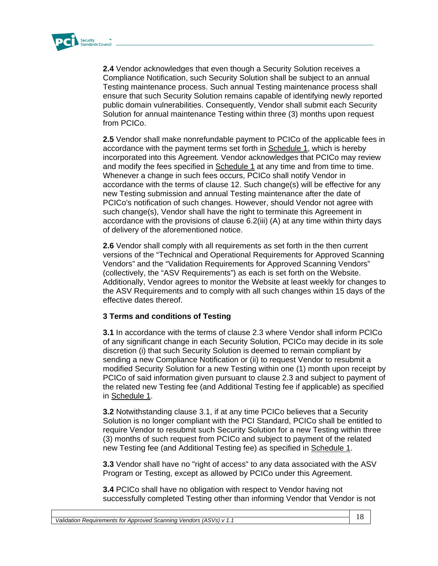

**2.4** Vendor acknowledges that even though a Security Solution receives a Compliance Notification, such Security Solution shall be subject to an annual Testing maintenance process. Such annual Testing maintenance process shall ensure that such Security Solution remains capable of identifying newly reported public domain vulnerabilities. Consequently, Vendor shall submit each Security Solution for annual maintenance Testing within three (3) months upon request from PCICo.

**2.5** Vendor shall make nonrefundable payment to PCICo of the applicable fees in accordance with the payment terms set forth in Schedule 1, which is hereby incorporated into this Agreement. Vendor acknowledges that PCICo may review and modify the fees specified in Schedule 1 at any time and from time to time. Whenever a change in such fees occurs, PCICo shall notify Vendor in accordance with the terms of clause 12. Such change(s) will be effective for any new Testing submission and annual Testing maintenance after the date of PCICo's notification of such changes. However, should Vendor not agree with such change(s), Vendor shall have the right to terminate this Agreement in accordance with the provisions of clause 6.2(iii) (A) at any time within thirty days of delivery of the aforementioned notice.

**2.6** Vendor shall comply with all requirements as set forth in the then current versions of the "Technical and Operational Requirements for Approved Scanning Vendors" and the "Validation Requirements for Approved Scanning Vendors" (collectively, the "ASV Requirements") as each is set forth on the Website. Additionally, Vendor agrees to monitor the Website at least weekly for changes to the ASV Requirements and to comply with all such changes within 15 days of the effective dates thereof.

### **3 Terms and conditions of Testing**

**3.1** In accordance with the terms of clause 2.3 where Vendor shall inform PCICo of any significant change in each Security Solution, PCICo may decide in its sole discretion (i) that such Security Solution is deemed to remain compliant by sending a new Compliance Notification or (ii) to request Vendor to resubmit a modified Security Solution for a new Testing within one (1) month upon receipt by PCICo of said information given pursuant to clause 2.3 and subject to payment of the related new Testing fee (and Additional Testing fee if applicable) as specified in Schedule 1.

**3.2** Notwithstanding clause 3.1, if at any time PCICo believes that a Security Solution is no longer compliant with the PCI Standard, PCICo shall be entitled to require Vendor to resubmit such Security Solution for a new Testing within three (3) months of such request from PCICo and subject to payment of the related new Testing fee (and Additional Testing fee) as specified in Schedule 1.

**3.3** Vendor shall have no "right of access" to any data associated with the ASV Program or Testing, except as allowed by PCICo under this Agreement.

**3.4** PCICo shall have no obligation with respect to Vendor having not successfully completed Testing other than informing Vendor that Vendor is not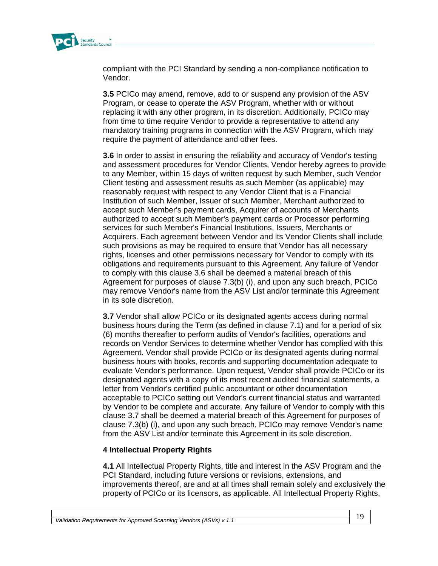

compliant with the PCI Standard by sending a non-compliance notification to Vendor.

**3.5** PCICo may amend, remove, add to or suspend any provision of the ASV Program, or cease to operate the ASV Program, whether with or without replacing it with any other program, in its discretion. Additionally, PCICo may from time to time require Vendor to provide a representative to attend any mandatory training programs in connection with the ASV Program, which may require the payment of attendance and other fees.

**3.6** In order to assist in ensuring the reliability and accuracy of Vendor's testing and assessment procedures for Vendor Clients, Vendor hereby agrees to provide to any Member, within 15 days of written request by such Member, such Vendor Client testing and assessment results as such Member (as applicable) may reasonably request with respect to any Vendor Client that is a Financial Institution of such Member, Issuer of such Member, Merchant authorized to accept such Member's payment cards, Acquirer of accounts of Merchants authorized to accept such Member's payment cards or Processor performing services for such Member's Financial Institutions, Issuers, Merchants or Acquirers. Each agreement between Vendor and its Vendor Clients shall include such provisions as may be required to ensure that Vendor has all necessary rights, licenses and other permissions necessary for Vendor to comply with its obligations and requirements pursuant to this Agreement. Any failure of Vendor to comply with this clause 3.6 shall be deemed a material breach of this Agreement for purposes of clause 7.3(b) (i), and upon any such breach, PCICo may remove Vendor's name from the ASV List and/or terminate this Agreement in its sole discretion.

**3.7** Vendor shall allow PCICo or its designated agents access during normal business hours during the Term (as defined in clause 7.1) and for a period of six (6) months thereafter to perform audits of Vendor's facilities, operations and records on Vendor Services to determine whether Vendor has complied with this Agreement. Vendor shall provide PCICo or its designated agents during normal business hours with books, records and supporting documentation adequate to evaluate Vendor's performance. Upon request, Vendor shall provide PCICo or its designated agents with a copy of its most recent audited financial statements, a letter from Vendor's certified public accountant or other documentation acceptable to PCICo setting out Vendor's current financial status and warranted by Vendor to be complete and accurate. Any failure of Vendor to comply with this clause 3.7 shall be deemed a material breach of this Agreement for purposes of clause 7.3(b) (i), and upon any such breach, PCICo may remove Vendor's name from the ASV List and/or terminate this Agreement in its sole discretion.

### **4 Intellectual Property Rights**

**4.1** All Intellectual Property Rights, title and interest in the ASV Program and the PCI Standard, including future versions or revisions, extensions, and improvements thereof, are and at all times shall remain solely and exclusively the property of PCICo or its licensors, as applicable. All Intellectual Property Rights,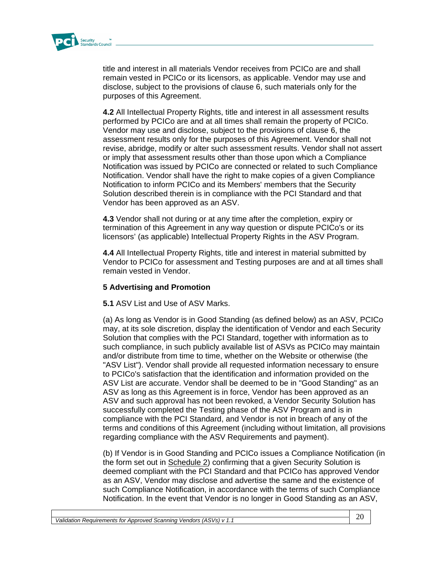

title and interest in all materials Vendor receives from PCICo are and shall remain vested in PCICo or its licensors, as applicable. Vendor may use and disclose, subject to the provisions of clause 6, such materials only for the purposes of this Agreement.

**4.2** All Intellectual Property Rights, title and interest in all assessment results performed by PCICo are and at all times shall remain the property of PCICo. Vendor may use and disclose, subject to the provisions of clause 6, the assessment results only for the purposes of this Agreement. Vendor shall not revise, abridge, modify or alter such assessment results. Vendor shall not assert or imply that assessment results other than those upon which a Compliance Notification was issued by PCICo are connected or related to such Compliance Notification. Vendor shall have the right to make copies of a given Compliance Notification to inform PCICo and its Members' members that the Security Solution described therein is in compliance with the PCI Standard and that Vendor has been approved as an ASV.

**4.3** Vendor shall not during or at any time after the completion, expiry or termination of this Agreement in any way question or dispute PCICo's or its licensors' (as applicable) Intellectual Property Rights in the ASV Program.

**4.4** All Intellectual Property Rights, title and interest in material submitted by Vendor to PCICo for assessment and Testing purposes are and at all times shall remain vested in Vendor.

### **5 Advertising and Promotion**

**5.1** ASV List and Use of ASV Marks.

(a) As long as Vendor is in Good Standing (as defined below) as an ASV, PCICo may, at its sole discretion, display the identification of Vendor and each Security Solution that complies with the PCI Standard, together with information as to such compliance, in such publicly available list of ASVs as PCICo may maintain and/or distribute from time to time, whether on the Website or otherwise (the "ASV List"). Vendor shall provide all requested information necessary to ensure to PCICo's satisfaction that the identification and information provided on the ASV List are accurate. Vendor shall be deemed to be in "Good Standing" as an ASV as long as this Agreement is in force, Vendor has been approved as an ASV and such approval has not been revoked, a Vendor Security Solution has successfully completed the Testing phase of the ASV Program and is in compliance with the PCI Standard, and Vendor is not in breach of any of the terms and conditions of this Agreement (including without limitation, all provisions regarding compliance with the ASV Requirements and payment).

(b) If Vendor is in Good Standing and PCICo issues a Compliance Notification (in the form set out in Schedule 2) confirming that a given Security Solution is deemed compliant with the PCI Standard and that PCICo has approved Vendor as an ASV, Vendor may disclose and advertise the same and the existence of such Compliance Notification, in accordance with the terms of such Compliance Notification. In the event that Vendor is no longer in Good Standing as an ASV,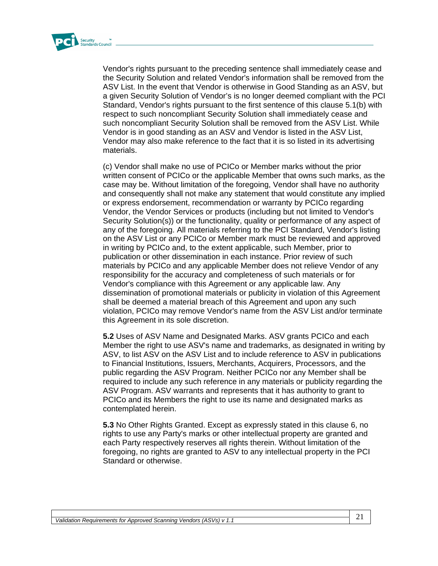

Vendor's rights pursuant to the preceding sentence shall immediately cease and the Security Solution and related Vendor's information shall be removed from the ASV List. In the event that Vendor is otherwise in Good Standing as an ASV, but a given Security Solution of Vendor's is no longer deemed compliant with the PCI Standard, Vendor's rights pursuant to the first sentence of this clause 5.1(b) with respect to such noncompliant Security Solution shall immediately cease and such noncompliant Security Solution shall be removed from the ASV List. While Vendor is in good standing as an ASV and Vendor is listed in the ASV List, Vendor may also make reference to the fact that it is so listed in its advertising materials.

(c) Vendor shall make no use of PCICo or Member marks without the prior written consent of PCICo or the applicable Member that owns such marks, as the case may be. Without limitation of the foregoing, Vendor shall have no authority and consequently shall not make any statement that would constitute any implied or express endorsement, recommendation or warranty by PCICo regarding Vendor, the Vendor Services or products (including but not limited to Vendor's Security Solution(s)) or the functionality, quality or performance of any aspect of any of the foregoing. All materials referring to the PCI Standard, Vendor's listing on the ASV List or any PCICo or Member mark must be reviewed and approved in writing by PCICo and, to the extent applicable, such Member, prior to publication or other dissemination in each instance. Prior review of such materials by PCICo and any applicable Member does not relieve Vendor of any responsibility for the accuracy and completeness of such materials or for Vendor's compliance with this Agreement or any applicable law. Any dissemination of promotional materials or publicity in violation of this Agreement shall be deemed a material breach of this Agreement and upon any such violation, PCICo may remove Vendor's name from the ASV List and/or terminate this Agreement in its sole discretion.

**5.2** Uses of ASV Name and Designated Marks. ASV grants PCICo and each Member the right to use ASV's name and trademarks, as designated in writing by ASV, to list ASV on the ASV List and to include reference to ASV in publications to Financial Institutions, Issuers, Merchants, Acquirers, Processors, and the public regarding the ASV Program. Neither PCICo nor any Member shall be required to include any such reference in any materials or publicity regarding the ASV Program. ASV warrants and represents that it has authority to grant to PCICo and its Members the right to use its name and designated marks as contemplated herein.

**5.3** No Other Rights Granted. Except as expressly stated in this clause 6, no rights to use any Party's marks or other intellectual property are granted and each Party respectively reserves all rights therein. Without limitation of the foregoing, no rights are granted to ASV to any intellectual property in the PCI Standard or otherwise.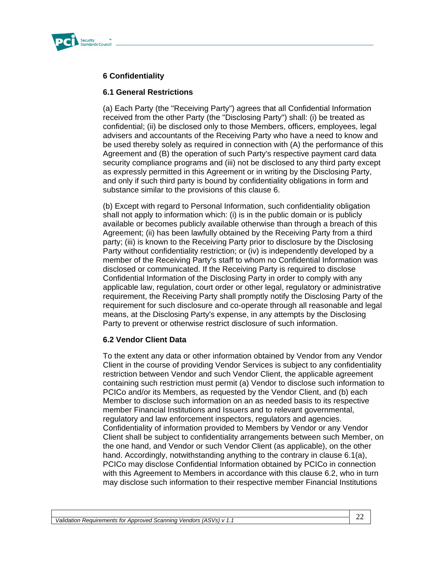

### **6 Confidentiality**

#### **6.1 General Restrictions**

(a) Each Party (the "Receiving Party") agrees that all Confidential Information received from the other Party (the "Disclosing Party") shall: (i) be treated as confidential; (ii) be disclosed only to those Members, officers, employees, legal advisers and accountants of the Receiving Party who have a need to know and be used thereby solely as required in connection with (A) the performance of this Agreement and (B) the operation of such Party's respective payment card data security compliance programs and (iii) not be disclosed to any third party except as expressly permitted in this Agreement or in writing by the Disclosing Party, and only if such third party is bound by confidentiality obligations in form and substance similar to the provisions of this clause 6.

(b) Except with regard to Personal Information, such confidentiality obligation shall not apply to information which: (i) is in the public domain or is publicly available or becomes publicly available otherwise than through a breach of this Agreement; (ii) has been lawfully obtained by the Receiving Party from a third party; (iii) is known to the Receiving Party prior to disclosure by the Disclosing Party without confidentiality restriction; or (iv) is independently developed by a member of the Receiving Party's staff to whom no Confidential Information was disclosed or communicated. If the Receiving Party is required to disclose Confidential Information of the Disclosing Party in order to comply with any applicable law, regulation, court order or other legal, regulatory or administrative requirement, the Receiving Party shall promptly notify the Disclosing Party of the requirement for such disclosure and co-operate through all reasonable and legal means, at the Disclosing Party's expense, in any attempts by the Disclosing Party to prevent or otherwise restrict disclosure of such information.

### **6.2 Vendor Client Data**

To the extent any data or other information obtained by Vendor from any Vendor Client in the course of providing Vendor Services is subject to any confidentiality restriction between Vendor and such Vendor Client, the applicable agreement containing such restriction must permit (a) Vendor to disclose such information to PCICo and/or its Members, as requested by the Vendor Client, and (b) each Member to disclose such information on an as needed basis to its respective member Financial Institutions and Issuers and to relevant governmental, regulatory and law enforcement inspectors, regulators and agencies. Confidentiality of information provided to Members by Vendor or any Vendor Client shall be subject to confidentiality arrangements between such Member, on the one hand, and Vendor or such Vendor Client (as applicable), on the other hand. Accordingly, notwithstanding anything to the contrary in clause 6.1(a), PCICo may disclose Confidential Information obtained by PCICo in connection with this Agreement to Members in accordance with this clause 6.2, who in turn may disclose such information to their respective member Financial Institutions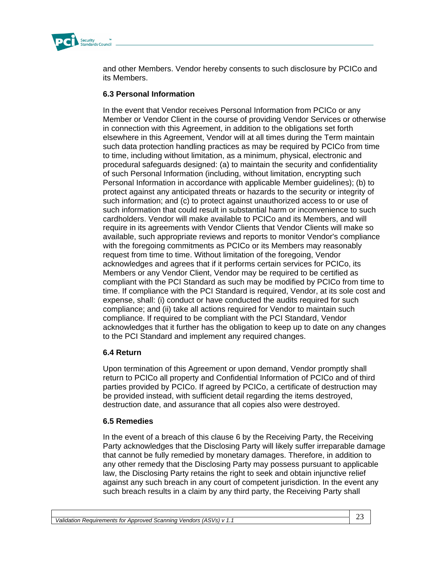

and other Members. Vendor hereby consents to such disclosure by PCICo and its Members.

### **6.3 Personal Information**

In the event that Vendor receives Personal Information from PCICo or any Member or Vendor Client in the course of providing Vendor Services or otherwise in connection with this Agreement, in addition to the obligations set forth elsewhere in this Agreement, Vendor will at all times during the Term maintain such data protection handling practices as may be required by PCICo from time to time, including without limitation, as a minimum, physical, electronic and procedural safeguards designed: (a) to maintain the security and confidentiality of such Personal Information (including, without limitation, encrypting such Personal Information in accordance with applicable Member guidelines); (b) to protect against any anticipated threats or hazards to the security or integrity of such information; and (c) to protect against unauthorized access to or use of such information that could result in substantial harm or inconvenience to such cardholders. Vendor will make available to PCICo and its Members, and will require in its agreements with Vendor Clients that Vendor Clients will make so available, such appropriate reviews and reports to monitor Vendor's compliance with the foregoing commitments as PCICo or its Members may reasonably request from time to time. Without limitation of the foregoing, Vendor acknowledges and agrees that if it performs certain services for PCICo, its Members or any Vendor Client, Vendor may be required to be certified as compliant with the PCI Standard as such may be modified by PCICo from time to time. If compliance with the PCI Standard is required, Vendor, at its sole cost and expense, shall: (i) conduct or have conducted the audits required for such compliance; and (ii) take all actions required for Vendor to maintain such compliance. If required to be compliant with the PCI Standard, Vendor acknowledges that it further has the obligation to keep up to date on any changes to the PCI Standard and implement any required changes.

#### **6.4 Return**

Upon termination of this Agreement or upon demand, Vendor promptly shall return to PCICo all property and Confidential Information of PCICo and of third parties provided by PCICo. If agreed by PCICo, a certificate of destruction may be provided instead, with sufficient detail regarding the items destroyed, destruction date, and assurance that all copies also were destroyed.

#### **6.5 Remedies**

In the event of a breach of this clause 6 by the Receiving Party, the Receiving Party acknowledges that the Disclosing Party will likely suffer irreparable damage that cannot be fully remedied by monetary damages. Therefore, in addition to any other remedy that the Disclosing Party may possess pursuant to applicable law, the Disclosing Party retains the right to seek and obtain injunctive relief against any such breach in any court of competent jurisdiction. In the event any such breach results in a claim by any third party, the Receiving Party shall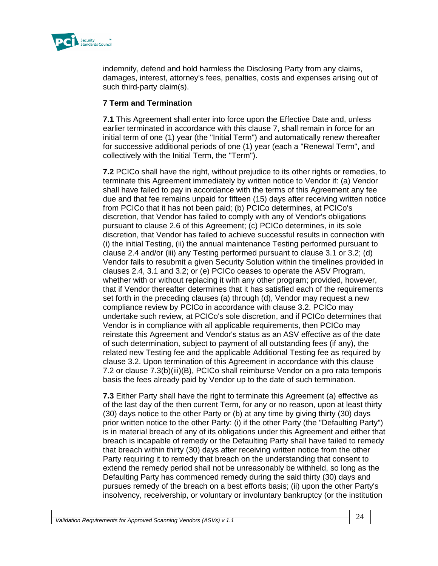

indemnify, defend and hold harmless the Disclosing Party from any claims, damages, interest, attorney's fees, penalties, costs and expenses arising out of such third-party claim(s).

#### **7 Term and Termination**

**7.1** This Agreement shall enter into force upon the Effective Date and, unless earlier terminated in accordance with this clause 7, shall remain in force for an initial term of one (1) year (the "Initial Term") and automatically renew thereafter for successive additional periods of one (1) year (each a "Renewal Term", and collectively with the Initial Term, the "Term").

**7.2** PCICo shall have the right, without prejudice to its other rights or remedies, to terminate this Agreement immediately by written notice to Vendor if: (a) Vendor shall have failed to pay in accordance with the terms of this Agreement any fee due and that fee remains unpaid for fifteen (15) days after receiving written notice from PCICo that it has not been paid; (b) PCICo determines, at PCICo's discretion, that Vendor has failed to comply with any of Vendor's obligations pursuant to clause 2.6 of this Agreement; (c) PCICo determines, in its sole discretion, that Vendor has failed to achieve successful results in connection with (i) the initial Testing, (ii) the annual maintenance Testing performed pursuant to clause 2.4 and/or (iii) any Testing performed pursuant to clause 3.1 or 3.2; (d) Vendor fails to resubmit a given Security Solution within the timelines provided in clauses 2.4, 3.1 and 3.2; or (e) PCICo ceases to operate the ASV Program, whether with or without replacing it with any other program; provided, however, that if Vendor thereafter determines that it has satisfied each of the requirements set forth in the preceding clauses (a) through (d), Vendor may request a new compliance review by PCICo in accordance with clause 3.2. PCICo may undertake such review, at PCICo's sole discretion, and if PCICo determines that Vendor is in compliance with all applicable requirements, then PCICo may reinstate this Agreement and Vendor's status as an ASV effective as of the date of such determination, subject to payment of all outstanding fees (if any), the related new Testing fee and the applicable Additional Testing fee as required by clause 3.2. Upon termination of this Agreement in accordance with this clause 7.2 or clause 7.3(b)(iii)(B), PCICo shall reimburse Vendor on a pro rata temporis basis the fees already paid by Vendor up to the date of such termination.

**7.3** Either Party shall have the right to terminate this Agreement (a) effective as of the last day of the then current Term, for any or no reason, upon at least thirty (30) days notice to the other Party or (b) at any time by giving thirty (30) days prior written notice to the other Party: (i) if the other Party (the "Defaulting Party") is in material breach of any of its obligations under this Agreement and either that breach is incapable of remedy or the Defaulting Party shall have failed to remedy that breach within thirty (30) days after receiving written notice from the other Party requiring it to remedy that breach on the understanding that consent to extend the remedy period shall not be unreasonably be withheld, so long as the Defaulting Party has commenced remedy during the said thirty (30) days and pursues remedy of the breach on a best efforts basis; (ii) upon the other Party's insolvency, receivership, or voluntary or involuntary bankruptcy (or the institution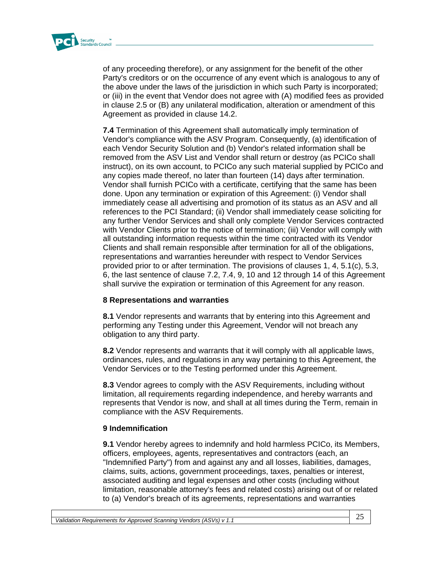

of any proceeding therefore), or any assignment for the benefit of the other Party's creditors or on the occurrence of any event which is analogous to any of the above under the laws of the jurisdiction in which such Party is incorporated; or (iii) in the event that Vendor does not agree with (A) modified fees as provided in clause 2.5 or (B) any unilateral modification, alteration or amendment of this Agreement as provided in clause 14.2.

**7.4** Termination of this Agreement shall automatically imply termination of Vendor's compliance with the ASV Program. Consequently, (a) identification of each Vendor Security Solution and (b) Vendor's related information shall be removed from the ASV List and Vendor shall return or destroy (as PCICo shall instruct), on its own account, to PCICo any such material supplied by PCICo and any copies made thereof, no later than fourteen (14) days after termination. Vendor shall furnish PCICo with a certificate, certifying that the same has been done. Upon any termination or expiration of this Agreement: (i) Vendor shall immediately cease all advertising and promotion of its status as an ASV and all references to the PCI Standard; (ii) Vendor shall immediately cease soliciting for any further Vendor Services and shall only complete Vendor Services contracted with Vendor Clients prior to the notice of termination; (iii) Vendor will comply with all outstanding information requests within the time contracted with its Vendor Clients and shall remain responsible after termination for all of the obligations, representations and warranties hereunder with respect to Vendor Services provided prior to or after termination. The provisions of clauses 1, 4, 5.1(c), 5.3, 6, the last sentence of clause 7.2, 7.4, 9, 10 and 12 through 14 of this Agreement shall survive the expiration or termination of this Agreement for any reason.

### **8 Representations and warranties**

**8.1** Vendor represents and warrants that by entering into this Agreement and performing any Testing under this Agreement, Vendor will not breach any obligation to any third party.

**8.2** Vendor represents and warrants that it will comply with all applicable laws, ordinances, rules, and regulations in any way pertaining to this Agreement, the Vendor Services or to the Testing performed under this Agreement.

**8.3** Vendor agrees to comply with the ASV Requirements, including without limitation, all requirements regarding independence, and hereby warrants and represents that Vendor is now, and shall at all times during the Term, remain in compliance with the ASV Requirements.

#### **9 Indemnification**

**9.1** Vendor hereby agrees to indemnify and hold harmless PCICo, its Members, officers, employees, agents, representatives and contractors (each, an "Indemnified Party") from and against any and all losses, liabilities, damages, claims, suits, actions, government proceedings, taxes, penalties or interest, associated auditing and legal expenses and other costs (including without limitation, reasonable attorney's fees and related costs) arising out of or related to (a) Vendor's breach of its agreements, representations and warranties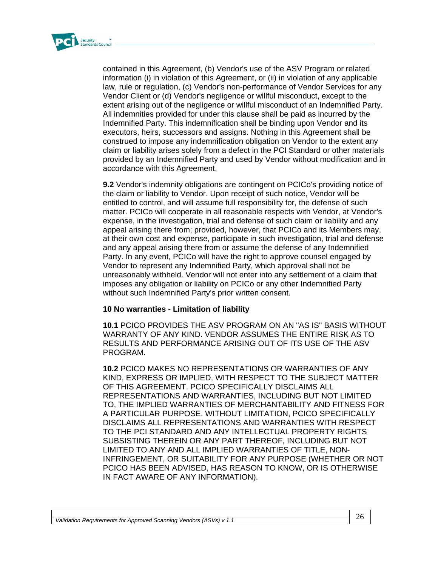

contained in this Agreement, (b) Vendor's use of the ASV Program or related information (i) in violation of this Agreement, or (ii) in violation of any applicable law, rule or regulation, (c) Vendor's non-performance of Vendor Services for any Vendor Client or (d) Vendor's negligence or willful misconduct, except to the extent arising out of the negligence or willful misconduct of an Indemnified Party. All indemnities provided for under this clause shall be paid as incurred by the Indemnified Party. This indemnification shall be binding upon Vendor and its executors, heirs, successors and assigns. Nothing in this Agreement shall be construed to impose any indemnification obligation on Vendor to the extent any claim or liability arises solely from a defect in the PCI Standard or other materials provided by an Indemnified Party and used by Vendor without modification and in accordance with this Agreement.

**9.2** Vendor's indemnity obligations are contingent on PCICo's providing notice of the claim or liability to Vendor. Upon receipt of such notice, Vendor will be entitled to control, and will assume full responsibility for, the defense of such matter. PCICo will cooperate in all reasonable respects with Vendor, at Vendor's expense, in the investigation, trial and defense of such claim or liability and any appeal arising there from; provided, however, that PCICo and its Members may, at their own cost and expense, participate in such investigation, trial and defense and any appeal arising there from or assume the defense of any Indemnified Party. In any event, PCICo will have the right to approve counsel engaged by Vendor to represent any Indemnified Party, which approval shall not be unreasonably withheld. Vendor will not enter into any settlement of a claim that imposes any obligation or liability on PCICo or any other Indemnified Party without such Indemnified Party's prior written consent.

#### **10 No warranties - Limitation of liability**

**10.1** PCICO PROVIDES THE ASV PROGRAM ON AN "AS IS" BASIS WITHOUT WARRANTY OF ANY KIND. VENDOR ASSUMES THE ENTIRE RISK AS TO RESULTS AND PERFORMANCE ARISING OUT OF ITS USE OF THE ASV PROGRAM.

**10.2** PCICO MAKES NO REPRESENTATIONS OR WARRANTIES OF ANY KIND, EXPRESS OR IMPLIED, WITH RESPECT TO THE SUBJECT MATTER OF THIS AGREEMENT. PCICO SPECIFICALLY DISCLAIMS ALL REPRESENTATIONS AND WARRANTIES, INCLUDING BUT NOT LIMITED TO, THE IMPLIED WARRANTIES OF MERCHANTABILITY AND FITNESS FOR A PARTICULAR PURPOSE. WITHOUT LIMITATION, PCICO SPECIFICALLY DISCLAIMS ALL REPRESENTATIONS AND WARRANTIES WITH RESPECT TO THE PCI STANDARD AND ANY INTELLECTUAL PROPERTY RIGHTS SUBSISTING THEREIN OR ANY PART THEREOF, INCLUDING BUT NOT LIMITED TO ANY AND ALL IMPLIED WARRANTIES OF TITLE, NON-INFRINGEMENT, OR SUITABILITY FOR ANY PURPOSE (WHETHER OR NOT PCICO HAS BEEN ADVISED, HAS REASON TO KNOW, OR IS OTHERWISE IN FACT AWARE OF ANY INFORMATION).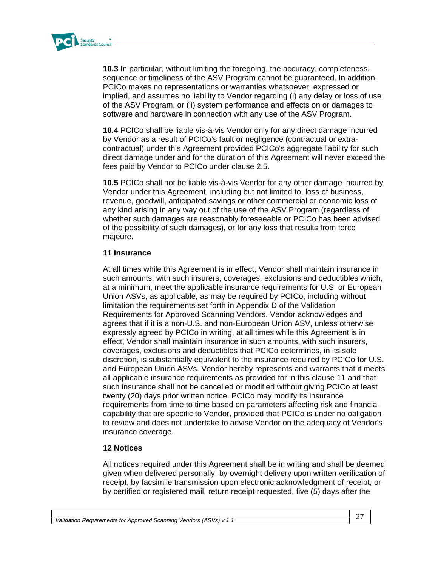

**10.3** In particular, without limiting the foregoing, the accuracy, completeness, sequence or timeliness of the ASV Program cannot be guaranteed. In addition, PCICo makes no representations or warranties whatsoever, expressed or implied, and assumes no liability to Vendor regarding (i) any delay or loss of use of the ASV Program, or (ii) system performance and effects on or damages to software and hardware in connection with any use of the ASV Program.

**10.4** PCICo shall be liable vis-à-vis Vendor only for any direct damage incurred by Vendor as a result of PCICo's fault or negligence (contractual or extracontractual) under this Agreement provided PCICo's aggregate liability for such direct damage under and for the duration of this Agreement will never exceed the fees paid by Vendor to PCICo under clause 2.5.

**10.5** PCICo shall not be liable vis-à-vis Vendor for any other damage incurred by Vendor under this Agreement, including but not limited to, loss of business, revenue, goodwill, anticipated savings or other commercial or economic loss of any kind arising in any way out of the use of the ASV Program (regardless of whether such damages are reasonably foreseeable or PCICo has been advised of the possibility of such damages), or for any loss that results from force majeure.

#### **11 Insurance**

At all times while this Agreement is in effect, Vendor shall maintain insurance in such amounts, with such insurers, coverages, exclusions and deductibles which, at a minimum, meet the applicable insurance requirements for U.S. or European Union ASVs, as applicable, as may be required by PCICo, including without limitation the requirements set forth in Appendix D of the Validation Requirements for Approved Scanning Vendors. Vendor acknowledges and agrees that if it is a non-U.S. and non-European Union ASV, unless otherwise expressly agreed by PCICo in writing, at all times while this Agreement is in effect, Vendor shall maintain insurance in such amounts, with such insurers, coverages, exclusions and deductibles that PCICo determines, in its sole discretion, is substantially equivalent to the insurance required by PCICo for U.S. and European Union ASVs. Vendor hereby represents and warrants that it meets all applicable insurance requirements as provided for in this clause 11 and that such insurance shall not be cancelled or modified without giving PCICo at least twenty (20) days prior written notice. PCICo may modify its insurance requirements from time to time based on parameters affecting risk and financial capability that are specific to Vendor, provided that PCICo is under no obligation to review and does not undertake to advise Vendor on the adequacy of Vendor's insurance coverage.

### **12 Notices**

All notices required under this Agreement shall be in writing and shall be deemed given when delivered personally, by overnight delivery upon written verification of receipt, by facsimile transmission upon electronic acknowledgment of receipt, or by certified or registered mail, return receipt requested, five (5) days after the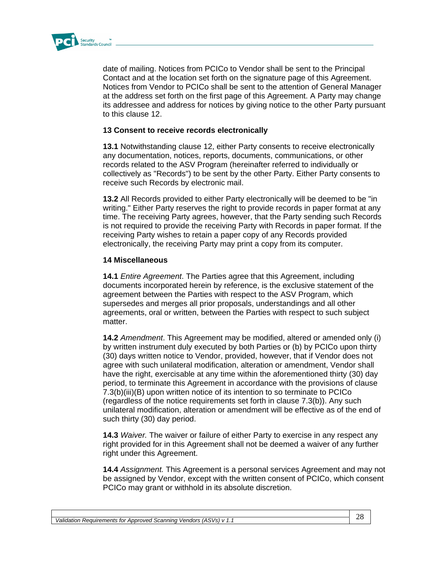

date of mailing. Notices from PCICo to Vendor shall be sent to the Principal Contact and at the location set forth on the signature page of this Agreement. Notices from Vendor to PCICo shall be sent to the attention of General Manager at the address set forth on the first page of this Agreement. A Party may change its addressee and address for notices by giving notice to the other Party pursuant to this clause 12.

#### **13 Consent to receive records electronically**

**13.1** Notwithstanding clause 12, either Party consents to receive electronically any documentation, notices, reports, documents, communications, or other records related to the ASV Program (hereinafter referred to individually or collectively as "Records") to be sent by the other Party. Either Party consents to receive such Records by electronic mail.

**13.2** All Records provided to either Party electronically will be deemed to be "in writing." Either Party reserves the right to provide records in paper format at any time. The receiving Party agrees, however, that the Party sending such Records is not required to provide the receiving Party with Records in paper format. If the receiving Party wishes to retain a paper copy of any Records provided electronically, the receiving Party may print a copy from its computer.

#### **14 Miscellaneous**

**14.1** *Entire Agreement*. The Parties agree that this Agreement, including documents incorporated herein by reference, is the exclusive statement of the agreement between the Parties with respect to the ASV Program, which supersedes and merges all prior proposals, understandings and all other agreements, oral or written, between the Parties with respect to such subject matter.

**14.2** *Amendment*. This Agreement may be modified, altered or amended only (i) by written instrument duly executed by both Parties or (b) by PCICo upon thirty (30) days written notice to Vendor, provided, however, that if Vendor does not agree with such unilateral modification, alteration or amendment, Vendor shall have the right, exercisable at any time within the aforementioned thirty (30) day period, to terminate this Agreement in accordance with the provisions of clause 7.3(b)(iii)(B) upon written notice of its intention to so terminate to PCICo (regardless of the notice requirements set forth in clause 7.3(b)). Any such unilateral modification, alteration or amendment will be effective as of the end of such thirty (30) day period.

**14.3** *Waiver.* The waiver or failure of either Party to exercise in any respect any right provided for in this Agreement shall not be deemed a waiver of any further right under this Agreement.

**14.4** *Assignment.* This Agreement is a personal services Agreement and may not be assigned by Vendor, except with the written consent of PCICo, which consent PCICo may grant or withhold in its absolute discretion.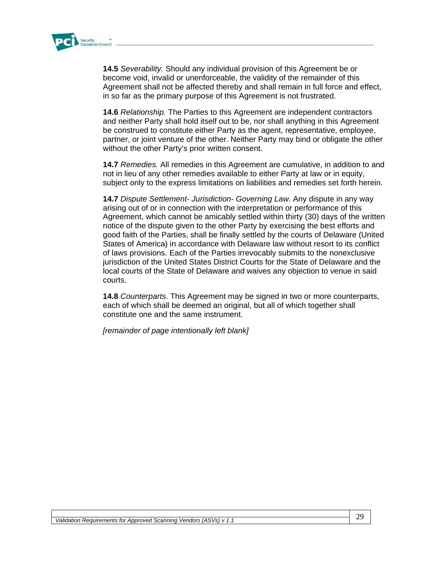

**14.5** *Severability.* Should any individual provision of this Agreement be or become void, invalid or unenforceable, the validity of the remainder of this Agreement shall not be affected thereby and shall remain in full force and effect, in so far as the primary purpose of this Agreement is not frustrated.

**14.6** *Relationship.* The Parties to this Agreement are independent contractors and neither Party shall hold itself out to be, nor shall anything in this Agreement be construed to constitute either Party as the agent, representative, employee, partner, or joint venture of the other. Neither Party may bind or obligate the other without the other Party's prior written consent.

**14.7** *Remedies.* All remedies in this Agreement are cumulative, in addition to and not in lieu of any other remedies available to either Party at law or in equity, subject only to the express limitations on liabilities and remedies set forth herein.

**14.7** *Dispute Settlement- Jurisdiction- Governing Law.* Any dispute in any way arising out of or in connection with the interpretation or performance of this Agreement, which cannot be amicably settled within thirty (30) days of the written notice of the dispute given to the other Party by exercising the best efforts and good faith of the Parties, shall be finally settled by the courts of Delaware (United States of America) in accordance with Delaware law without resort to its conflict of laws provisions. Each of the Parties irrevocably submits to the nonexclusive jurisdiction of the United States District Courts for the State of Delaware and the local courts of the State of Delaware and waives any objection to venue in said courts.

**14.8** *Counterparts*. This Agreement may be signed in two or more counterparts, each of which shall be deemed an original, but all of which together shall constitute one and the same instrument.

*[remainder of page intentionally left blank]*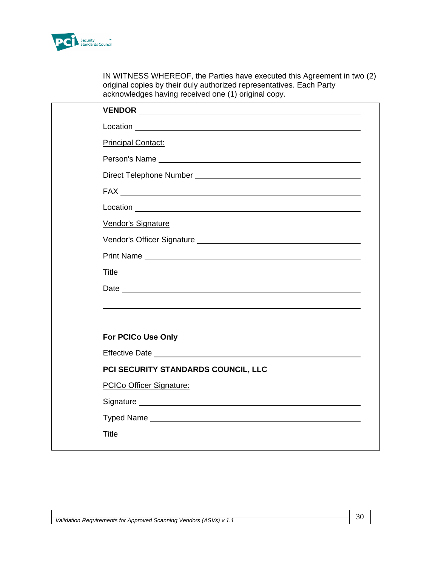

IN WITNESS WHEREOF, the Parties have executed this Agreement in two (2) original copies by their duly authorized representatives. Each Party acknowledges having received one (1) original copy.

| <b>Principal Contact:</b>                                                                                                                                                                                                            |
|--------------------------------------------------------------------------------------------------------------------------------------------------------------------------------------------------------------------------------------|
|                                                                                                                                                                                                                                      |
|                                                                                                                                                                                                                                      |
|                                                                                                                                                                                                                                      |
|                                                                                                                                                                                                                                      |
| Vendor's Signature                                                                                                                                                                                                                   |
|                                                                                                                                                                                                                                      |
|                                                                                                                                                                                                                                      |
|                                                                                                                                                                                                                                      |
|                                                                                                                                                                                                                                      |
|                                                                                                                                                                                                                                      |
|                                                                                                                                                                                                                                      |
| For PCICo Use Only                                                                                                                                                                                                                   |
|                                                                                                                                                                                                                                      |
| PCI SECURITY STANDARDS COUNCIL, LLC                                                                                                                                                                                                  |
| <b>PCICo Officer Signature:</b>                                                                                                                                                                                                      |
| Signature Signature Signature and the state of the state of the state of the state of the state of the state of the state of the state of the state of the state of the state of the state of the state of the state of the st       |
|                                                                                                                                                                                                                                      |
| Title <u>substitution of the second contract of the second contract of the second contract of the second contract of the second contract of the second contract of the second contract of the second contract of the second cont</u> |
|                                                                                                                                                                                                                                      |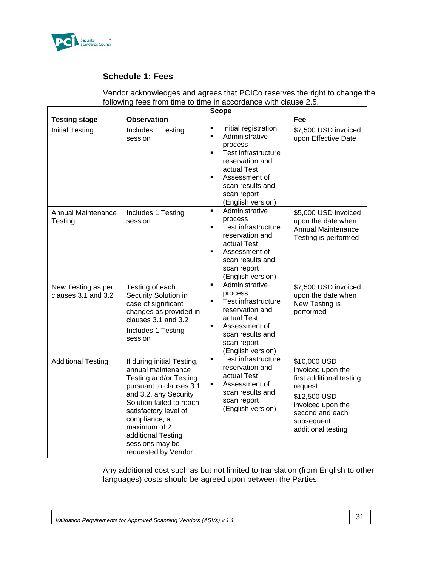

### **Schedule 1: Fees**

Vendor acknowledges and agrees that PCICo reserves the right to change the following fees from time to time in accordance with clause 2.5.

|                                           | <b>Scope</b>                                                                                                                                                                                                                                                                         |                                                                                                                                                                                                                                                |                                                                                                                                                                      |
|-------------------------------------------|--------------------------------------------------------------------------------------------------------------------------------------------------------------------------------------------------------------------------------------------------------------------------------------|------------------------------------------------------------------------------------------------------------------------------------------------------------------------------------------------------------------------------------------------|----------------------------------------------------------------------------------------------------------------------------------------------------------------------|
| <b>Testing stage</b>                      | <b>Observation</b>                                                                                                                                                                                                                                                                   |                                                                                                                                                                                                                                                | Fee                                                                                                                                                                  |
| <b>Initial Testing</b>                    | Includes 1 Testing<br>session                                                                                                                                                                                                                                                        | Initial registration<br>$\blacksquare$<br>Administrative<br>٠<br>process<br>Test infrastructure<br>$\blacksquare$<br>reservation and<br>actual Test<br>Assessment of<br>$\blacksquare$<br>scan results and<br>scan report<br>(English version) | \$7,500 USD invoiced<br>upon Effective Date                                                                                                                          |
| <b>Annual Maintenance</b><br>Testing      | Includes 1 Testing<br>session                                                                                                                                                                                                                                                        | Administrative<br>$\blacksquare$<br>process<br>Test infrastructure<br>$\blacksquare$<br>reservation and<br>actual Test<br>Assessment of<br>$\blacksquare$<br>scan results and<br>scan report<br>(English version)                              | \$5,000 USD invoiced<br>upon the date when<br><b>Annual Maintenance</b><br>Testing is performed                                                                      |
| New Testing as per<br>clauses 3.1 and 3.2 | Testing of each<br>Security Solution in<br>case of significant<br>changes as provided in<br>clauses 3.1 and 3.2<br>Includes 1 Testing<br>session                                                                                                                                     | Administrative<br>$\blacksquare$<br>process<br>Test infrastructure<br>$\blacksquare$<br>reservation and<br>actual Test<br>Assessment of<br>$\blacksquare$<br>scan results and<br>scan report<br>(English version)                              | \$7,500 USD invoiced<br>upon the date when<br>New Testing is<br>performed                                                                                            |
| <b>Additional Testing</b>                 | If during initial Testing,<br>annual maintenance<br>Testing and/or Testing<br>pursuant to clauses 3.1<br>and 3.2, any Security<br>Solution failed to reach<br>satisfactory level of<br>compliance, a<br>maximum of 2<br>additional Testing<br>sessions may be<br>requested by Vendor | Test infrastructure<br>$\blacksquare$<br>reservation and<br>actual Test<br>Assessment of<br>scan results and<br>scan report<br>(English version)                                                                                               | \$10,000 USD<br>invoiced upon the<br>first additional testing<br>request<br>\$12,500 USD<br>invoiced upon the<br>second and each<br>subsequent<br>additional testing |

Any additional cost such as but not limited to translation (from English to other languages) costs should be agreed upon between the Parties.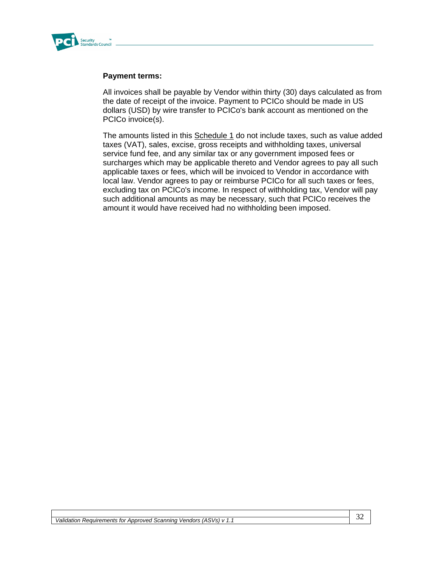

### **Payment terms:**

All invoices shall be payable by Vendor within thirty (30) days calculated as from the date of receipt of the invoice. Payment to PCICo should be made in US dollars (USD) by wire transfer to PCICo's bank account as mentioned on the PCICo invoice(s).

The amounts listed in this Schedule 1 do not include taxes, such as value added taxes (VAT), sales, excise, gross receipts and withholding taxes, universal service fund fee, and any similar tax or any government imposed fees or surcharges which may be applicable thereto and Vendor agrees to pay all such applicable taxes or fees, which will be invoiced to Vendor in accordance with local law. Vendor agrees to pay or reimburse PCICo for all such taxes or fees, excluding tax on PCICo's income. In respect of withholding tax, Vendor will pay such additional amounts as may be necessary, such that PCICo receives the amount it would have received had no withholding been imposed.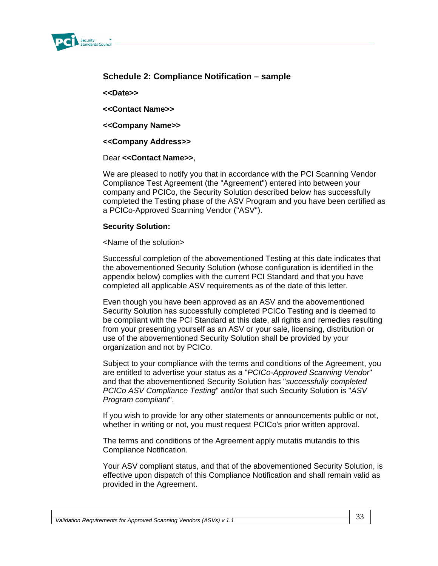

### **Schedule 2: Compliance Notification – sample**

**<<Date>>** 

**<<Contact Name>>** 

**<<Company Name>>** 

#### **<<Company Address>>**

#### Dear **<<Contact Name>>**,

We are pleased to notify you that in accordance with the PCI Scanning Vendor Compliance Test Agreement (the "Agreement") entered into between your company and PCICo, the Security Solution described below has successfully completed the Testing phase of the ASV Program and you have been certified as a PCICo-Approved Scanning Vendor ("ASV").

### **Security Solution:**

<Name of the solution>

Successful completion of the abovementioned Testing at this date indicates that the abovementioned Security Solution (whose configuration is identified in the appendix below) complies with the current PCI Standard and that you have completed all applicable ASV requirements as of the date of this letter.

Even though you have been approved as an ASV and the abovementioned Security Solution has successfully completed PCICo Testing and is deemed to be compliant with the PCI Standard at this date, all rights and remedies resulting from your presenting yourself as an ASV or your sale, licensing, distribution or use of the abovementioned Security Solution shall be provided by your organization and not by PCICo.

Subject to your compliance with the terms and conditions of the Agreement, you are entitled to advertise your status as a "*PCICo-Approved Scanning Vendor*" and that the abovementioned Security Solution has "*successfully completed PCICo ASV Compliance Testing*" and/or that such Security Solution is "*ASV Program compliant*".

If you wish to provide for any other statements or announcements public or not, whether in writing or not, you must request PCICo's prior written approval.

The terms and conditions of the Agreement apply mutatis mutandis to this Compliance Notification.

Your ASV compliant status, and that of the abovementioned Security Solution, is effective upon dispatch of this Compliance Notification and shall remain valid as provided in the Agreement.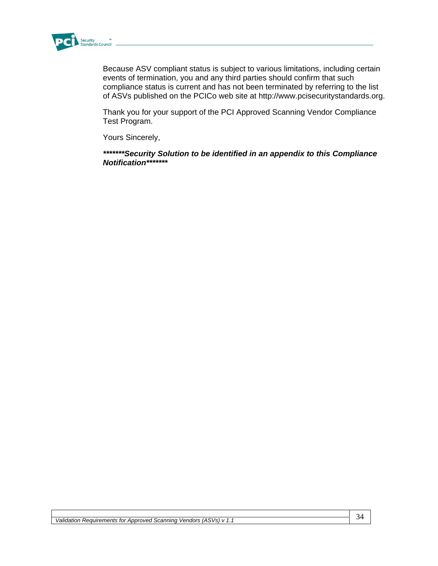

Because ASV compliant status is subject to various limitations, including certain events of termination, you and any third parties should confirm that such compliance status is current and has not been terminated by referring to the list of ASVs published on the PCICo web site at http://www.pcisecuritystandards.org.

Thank you for your support of the PCI Approved Scanning Vendor Compliance Test Program.

Yours Sincerely,

*\*\*\*\*\*\*\*Security Solution to be identified in an appendix to this Compliance Notification\*\*\*\*\*\*\**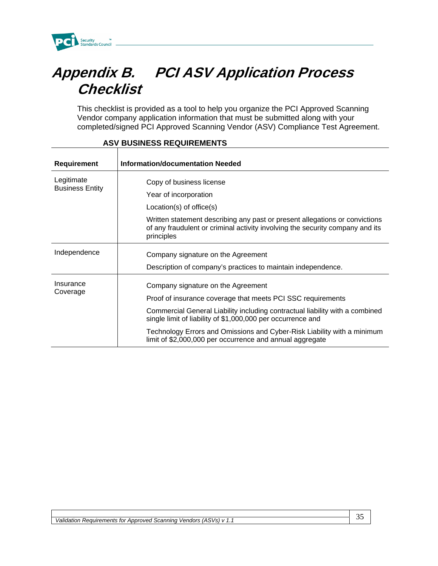

## **Appendix B. PCI ASV Application Process Checklist**

This checklist is provided as a tool to help you organize the PCI Approved Scanning Vendor company application information that must be submitted along with your completed/signed PCI Approved Scanning Vendor (ASV) Compliance Test Agreement.

| <b>Requirement</b>     | Information/documentation Needed                                                                                                                                           |  |
|------------------------|----------------------------------------------------------------------------------------------------------------------------------------------------------------------------|--|
| Legitimate             | Copy of business license                                                                                                                                                   |  |
| <b>Business Entity</b> | Year of incorporation                                                                                                                                                      |  |
|                        | $Location(s)$ of office $(s)$                                                                                                                                              |  |
|                        | Written statement describing any past or present allegations or convictions<br>of any fraudulent or criminal activity involving the security company and its<br>principles |  |
| Independence           | Company signature on the Agreement                                                                                                                                         |  |
|                        | Description of company's practices to maintain independence.                                                                                                               |  |
| Insurance<br>Coverage  | Company signature on the Agreement                                                                                                                                         |  |
|                        | Proof of insurance coverage that meets PCI SSC requirements                                                                                                                |  |
|                        | Commercial General Liability including contractual liability with a combined<br>single limit of liability of \$1,000,000 per occurrence and                                |  |
|                        | Technology Errors and Omissions and Cyber-Risk Liability with a minimum<br>limit of \$2,000,000 per occurrence and annual aggregate                                        |  |

### **ASV BUSINESS REQUIREMENTS**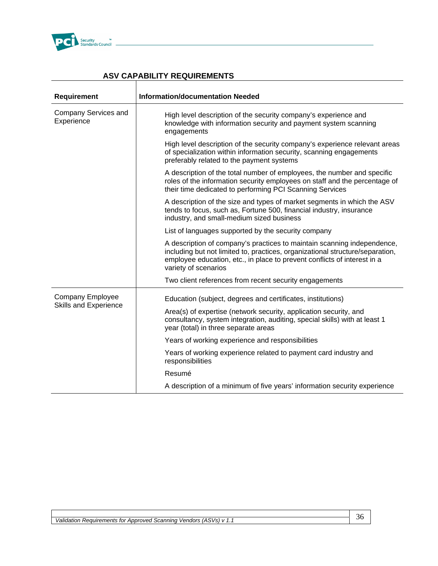

| <b>Requirement</b>                 | <b>Information/documentation Needed</b>                                                                                                                                                                                                                      |  |  |
|------------------------------------|--------------------------------------------------------------------------------------------------------------------------------------------------------------------------------------------------------------------------------------------------------------|--|--|
| Company Services and<br>Experience | High level description of the security company's experience and<br>knowledge with information security and payment system scanning<br>engagements                                                                                                            |  |  |
|                                    | High level description of the security company's experience relevant areas<br>of specialization within information security, scanning engagements<br>preferably related to the payment systems                                                               |  |  |
|                                    | A description of the total number of employees, the number and specific<br>roles of the information security employees on staff and the percentage of<br>their time dedicated to performing PCI Scanning Services                                            |  |  |
|                                    | A description of the size and types of market segments in which the ASV<br>tends to focus, such as, Fortune 500, financial industry, insurance<br>industry, and small-medium sized business                                                                  |  |  |
|                                    | List of languages supported by the security company                                                                                                                                                                                                          |  |  |
|                                    | A description of company's practices to maintain scanning independence,<br>including but not limited to, practices, organizational structure/separation,<br>employee education, etc., in place to prevent conflicts of interest in a<br>variety of scenarios |  |  |
|                                    | Two client references from recent security engagements                                                                                                                                                                                                       |  |  |
| Company Employee                   | Education (subject, degrees and certificates, institutions)                                                                                                                                                                                                  |  |  |
| Skills and Experience              | Area(s) of expertise (network security, application security, and<br>consultancy, system integration, auditing, special skills) with at least 1<br>year (total) in three separate areas                                                                      |  |  |
|                                    | Years of working experience and responsibilities                                                                                                                                                                                                             |  |  |
|                                    | Years of working experience related to payment card industry and<br>responsibilities                                                                                                                                                                         |  |  |
|                                    | Resumé                                                                                                                                                                                                                                                       |  |  |
|                                    | A description of a minimum of five years' information security experience                                                                                                                                                                                    |  |  |

## **ASV CAPABILITY REQUIREMENTS**

 $\mathbf{I}$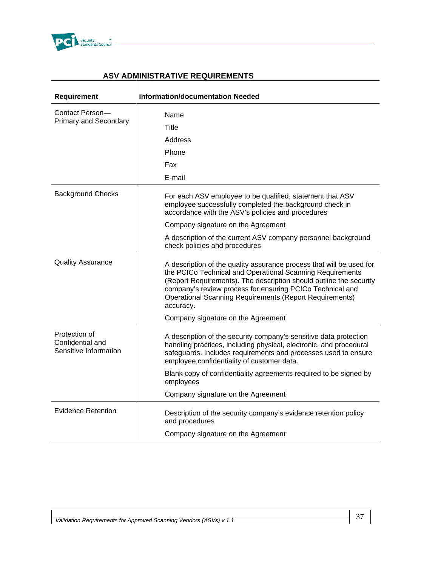

| <b>Requirement</b>                                         | <b>Information/documentation Needed</b>                                                                                                                                                                                                                                                                                                             |  |  |
|------------------------------------------------------------|-----------------------------------------------------------------------------------------------------------------------------------------------------------------------------------------------------------------------------------------------------------------------------------------------------------------------------------------------------|--|--|
| Contact Person-<br><b>Primary and Secondary</b>            | Name                                                                                                                                                                                                                                                                                                                                                |  |  |
|                                                            | Title                                                                                                                                                                                                                                                                                                                                               |  |  |
|                                                            | Address                                                                                                                                                                                                                                                                                                                                             |  |  |
|                                                            | Phone                                                                                                                                                                                                                                                                                                                                               |  |  |
|                                                            | Fax                                                                                                                                                                                                                                                                                                                                                 |  |  |
|                                                            | E-mail                                                                                                                                                                                                                                                                                                                                              |  |  |
| <b>Background Checks</b>                                   | For each ASV employee to be qualified, statement that ASV<br>employee successfully completed the background check in<br>accordance with the ASV's policies and procedures                                                                                                                                                                           |  |  |
|                                                            | Company signature on the Agreement                                                                                                                                                                                                                                                                                                                  |  |  |
|                                                            | A description of the current ASV company personnel background<br>check policies and procedures                                                                                                                                                                                                                                                      |  |  |
| <b>Quality Assurance</b>                                   | A description of the quality assurance process that will be used for<br>the PCICo Technical and Operational Scanning Requirements<br>(Report Requirements). The description should outline the security<br>company's review process for ensuring PCICo Technical and<br><b>Operational Scanning Requirements (Report Requirements)</b><br>accuracy. |  |  |
|                                                            | Company signature on the Agreement                                                                                                                                                                                                                                                                                                                  |  |  |
| Protection of<br>Confidential and<br>Sensitive Information | A description of the security company's sensitive data protection<br>handling practices, including physical, electronic, and procedural<br>safeguards. Includes requirements and processes used to ensure<br>employee confidentiality of customer data.                                                                                             |  |  |
|                                                            | Blank copy of confidentiality agreements required to be signed by<br>employees                                                                                                                                                                                                                                                                      |  |  |
|                                                            | Company signature on the Agreement                                                                                                                                                                                                                                                                                                                  |  |  |
| <b>Evidence Retention</b>                                  | Description of the security company's evidence retention policy<br>and procedures                                                                                                                                                                                                                                                                   |  |  |
|                                                            | Company signature on the Agreement                                                                                                                                                                                                                                                                                                                  |  |  |

### **ASV ADMINISTRATIVE REQUIREMENTS**

 $\mathbf{I}$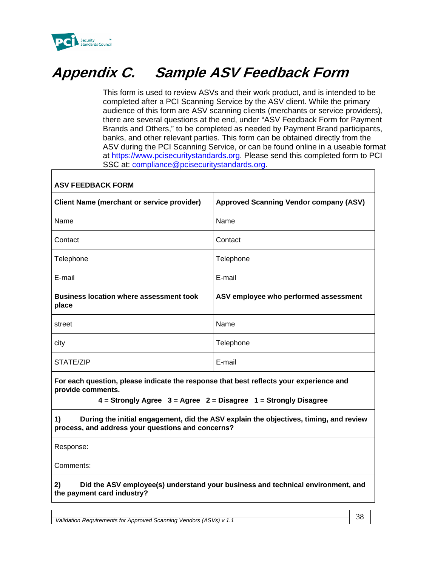

## **Appendix C. Sample ASV Feedback Form**

This form is used to review ASVs and their work product, and is intended to be completed after a PCI Scanning Service by the ASV client. While the primary audience of this form are ASV scanning clients (merchants or service providers), there are several questions at the end, under "ASV Feedback Form for Payment Brands and Others," to be completed as needed by Payment Brand participants, banks, and other relevant parties. This form can be obtained directly from the ASV during the PCI Scanning Service, or can be found online in a useable format at https://www.pcisecuritystandards.org. Please send this completed form to PCI SSC at: compliance@pcisecuritystandards.org.

| <b>ASV FEEDBACK FORM</b>                                                                                                                                                               |                                               |  |  |
|----------------------------------------------------------------------------------------------------------------------------------------------------------------------------------------|-----------------------------------------------|--|--|
| <b>Client Name (merchant or service provider)</b>                                                                                                                                      | <b>Approved Scanning Vendor company (ASV)</b> |  |  |
| Name                                                                                                                                                                                   | Name                                          |  |  |
| Contact                                                                                                                                                                                | Contact                                       |  |  |
| Telephone                                                                                                                                                                              | Telephone                                     |  |  |
| E-mail                                                                                                                                                                                 | E-mail                                        |  |  |
| <b>Business location where assessment took</b><br>place                                                                                                                                | ASV employee who performed assessment         |  |  |
| street                                                                                                                                                                                 | Name                                          |  |  |
| city                                                                                                                                                                                   | Telephone                                     |  |  |
| STATE/ZIP                                                                                                                                                                              | E-mail                                        |  |  |
| For each question, please indicate the response that best reflects your experience and<br>provide comments.<br>$4 =$ Strongly Agree $3 =$ Agree $2 =$ Disagree $1 =$ Strongly Disagree |                                               |  |  |
| During the initial engagement, did the ASV explain the objectives, timing, and review<br>1)<br>process, and address your questions and concerns?                                       |                                               |  |  |
| Response:                                                                                                                                                                              |                                               |  |  |

Comments:

**2) Did the ASV employee(s) understand your business and technical environment, and the payment card industry?** 

Validation Requirements for Approved Scanning Vendors (ASVs) v 1.1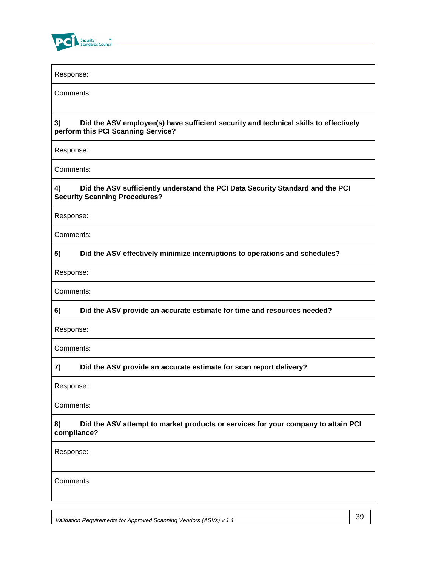

## Validation Requirements for Approved Scanning Vendors (ASVs) v 1.1 **39** Response: Comments: **3) Did the ASV employee(s) have sufficient security and technical skills to effectively perform this PCI Scanning Service?**  Response: Comments: **4) Did the ASV sufficiently understand the PCI Data Security Standard and the PCI Security Scanning Procedures?**  Response: Comments: **5) Did the ASV effectively minimize interruptions to operations and schedules?**  Response: Comments: **6) Did the ASV provide an accurate estimate for time and resources needed?**  Response: Comments: **7) Did the ASV provide an accurate estimate for scan report delivery?**  Response: Comments: **8) Did the ASV attempt to market products or services for your company to attain PCI compliance?**  Response: Comments: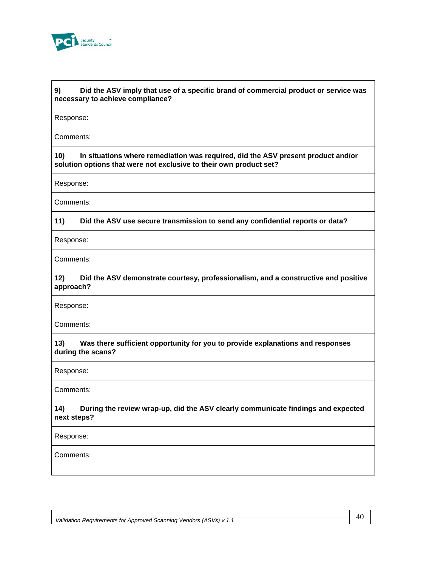

#### **9) Did the ASV imply that use of a specific brand of commercial product or service was necessary to achieve compliance?**

Response:

Comments:

**10) In situations where remediation was required, did the ASV present product and/or solution options that were not exclusive to their own product set?** 

Response:

Comments:

#### **11) Did the ASV use secure transmission to send any confidential reports or data?**

Response:

Comments:

#### **12) Did the ASV demonstrate courtesy, professionalism, and a constructive and positive approach?**

Response:

Comments:

**13) Was there sufficient opportunity for you to provide explanations and responses during the scans?** 

Response:

Comments:

#### **14) During the review wrap-up, did the ASV clearly communicate findings and expected next steps?**

Response:

Comments: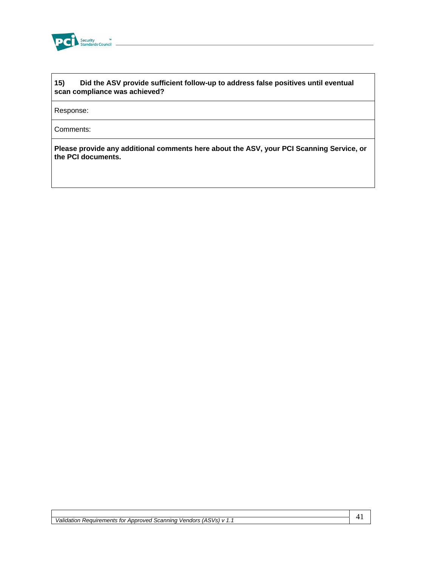

#### **15) Did the ASV provide sufficient follow-up to address false positives until eventual scan compliance was achieved?**

Response:

Comments:

**Please provide any additional comments here about the ASV, your PCI Scanning Service, or the PCI documents.**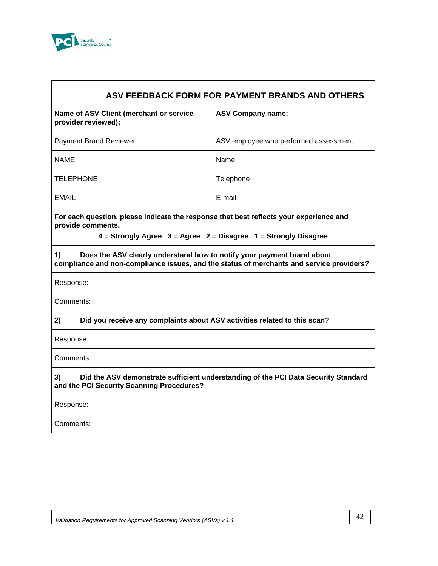

I.

| ASV FEEDBACK FORM FOR PAYMENT BRANDS AND OTHERS                                                                                                                                        |                                        |  |  |
|----------------------------------------------------------------------------------------------------------------------------------------------------------------------------------------|----------------------------------------|--|--|
| Name of ASV Client (merchant or service<br>provider reviewed):                                                                                                                         | <b>ASV Company name:</b>               |  |  |
| Payment Brand Reviewer:                                                                                                                                                                | ASV employee who performed assessment: |  |  |
| <b>NAME</b>                                                                                                                                                                            | Name                                   |  |  |
| <b>TELEPHONE</b>                                                                                                                                                                       | Telephone                              |  |  |
| EMAIL                                                                                                                                                                                  | E-mail                                 |  |  |
| For each question, please indicate the response that best reflects your experience and<br>provide comments.<br>$4 =$ Strongly Agree $3 =$ Agree $2 =$ Disagree $1 =$ Strongly Disagree |                                        |  |  |
| 1)<br>Does the ASV clearly understand how to notify your payment brand about<br>compliance and non-compliance issues, and the status of merchants and service providers?               |                                        |  |  |
| Response:                                                                                                                                                                              |                                        |  |  |
| Comments:                                                                                                                                                                              |                                        |  |  |
| 2)<br>Did you receive any complaints about ASV activities related to this scan?                                                                                                        |                                        |  |  |
| Response:                                                                                                                                                                              |                                        |  |  |
| Comments:                                                                                                                                                                              |                                        |  |  |
| Did the ASV demonstrate sufficient understanding of the PCI Data Security Standard<br>3)<br>and the PCI Security Scanning Procedures?                                                  |                                        |  |  |
| Response:                                                                                                                                                                              |                                        |  |  |
| Comments:                                                                                                                                                                              |                                        |  |  |

٦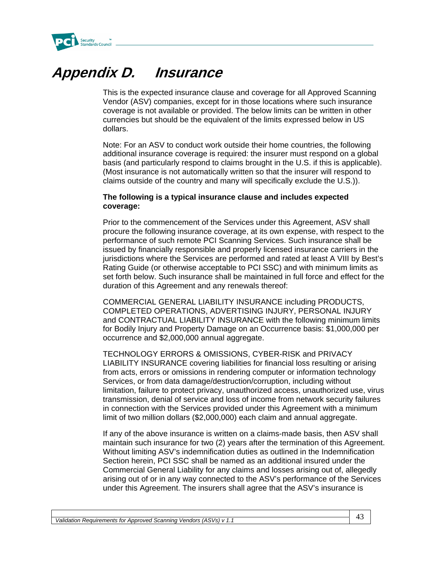

## **Appendix D. Insurance**

This is the expected insurance clause and coverage for all Approved Scanning Vendor (ASV) companies, except for in those locations where such insurance coverage is not available or provided. The below limits can be written in other currencies but should be the equivalent of the limits expressed below in US dollars.

Note: For an ASV to conduct work outside their home countries, the following additional insurance coverage is required: the insurer must respond on a global basis (and particularly respond to claims brought in the U.S. if this is applicable). (Most insurance is not automatically written so that the insurer will respond to claims outside of the country and many will specifically exclude the U.S.)).

#### **The following is a typical insurance clause and includes expected coverage:**

Prior to the commencement of the Services under this Agreement, ASV shall procure the following insurance coverage, at its own expense, with respect to the performance of such remote PCI Scanning Services. Such insurance shall be issued by financially responsible and properly licensed insurance carriers in the jurisdictions where the Services are performed and rated at least A VIII by Best's Rating Guide (or otherwise acceptable to PCI SSC) and with minimum limits as set forth below. Such insurance shall be maintained in full force and effect for the duration of this Agreement and any renewals thereof:

COMMERCIAL GENERAL LIABILITY INSURANCE including PRODUCTS, COMPLETED OPERATIONS, ADVERTISING INJURY, PERSONAL INJURY and CONTRACTUAL LIABILITY INSURANCE with the following minimum limits for Bodily Injury and Property Damage on an Occurrence basis: \$1,000,000 per occurrence and \$2,000,000 annual aggregate.

TECHNOLOGY ERRORS & OMISSIONS, CYBER-RISK and PRIVACY LIABILITY INSURANCE covering liabilities for financial loss resulting or arising from acts, errors or omissions in rendering computer or information technology Services, or from data damage/destruction/corruption, including without limitation, failure to protect privacy, unauthorized access, unauthorized use, virus transmission, denial of service and loss of income from network security failures in connection with the Services provided under this Agreement with a minimum limit of two million dollars (\$2,000,000) each claim and annual aggregate.

If any of the above insurance is written on a claims-made basis, then ASV shall maintain such insurance for two (2) years after the termination of this Agreement. Without limiting ASV's indemnification duties as outlined in the Indemnification Section herein, PCI SSC shall be named as an additional insured under the Commercial General Liability for any claims and losses arising out of, allegedly arising out of or in any way connected to the ASV's performance of the Services under this Agreement. The insurers shall agree that the ASV's insurance is